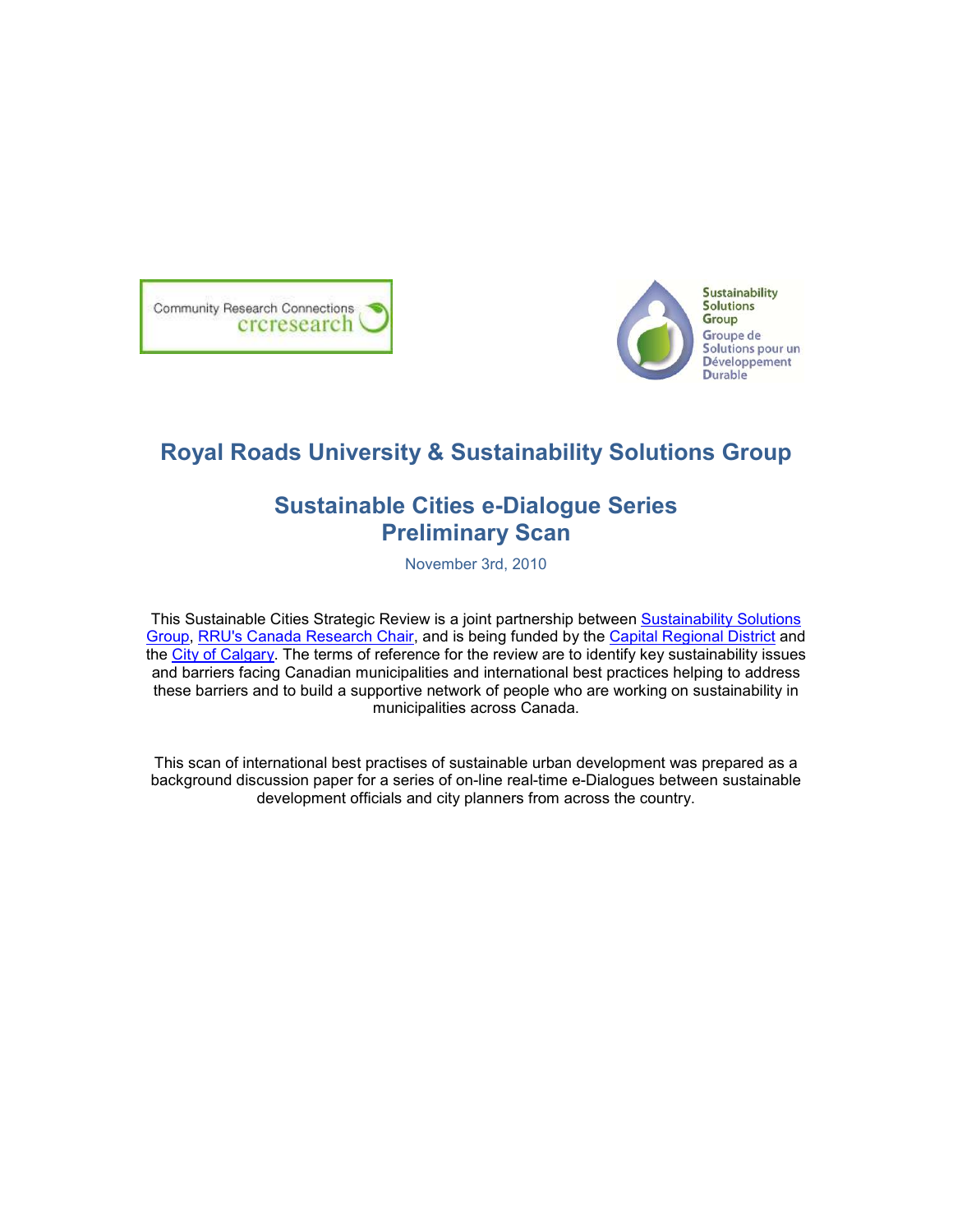



# **Royal Roads University & Sustainability Solutions Group**

# **Sustainable Cities e-Dialogue Series Preliminary Scan**

November 3rd, 2010

This Sustainable Cities Strategic Review is a joint partnership between Sustainability Solutions Group, RRU's Canada Research Chair, and is being funded by the Capital Regional District and the City of Calgary. The terms of reference for the review are to identify key sustainability issues and barriers facing Canadian municipalities and international best practices helping to address these barriers and to build a supportive network of people who are working on sustainability in municipalities across Canada.

This scan of international best practises of sustainable urban development was prepared as a background discussion paper for a series of on-line real-time e-Dialogues between sustainable development officials and city planners from across the country.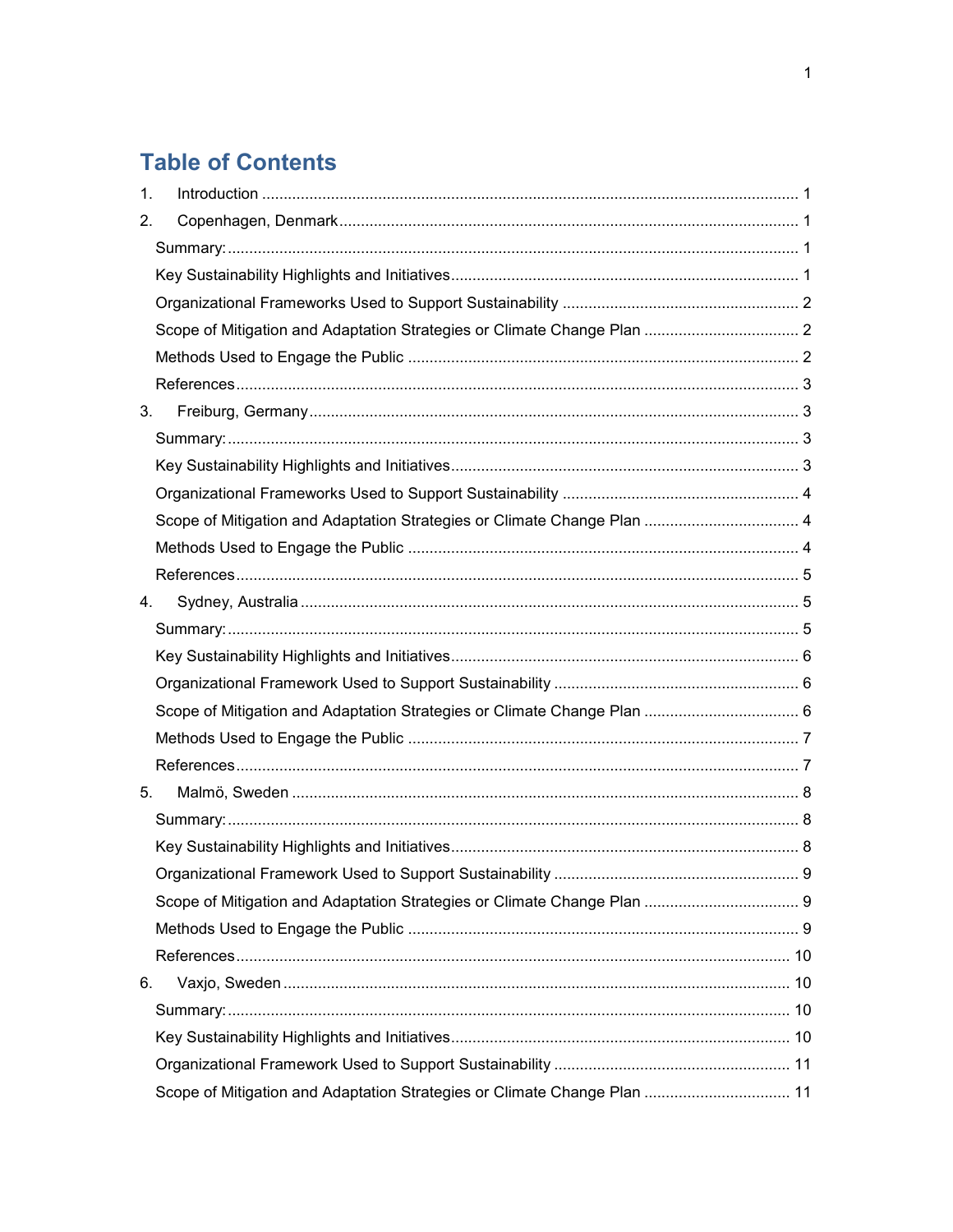# **Table of Contents**

| 1. |                                                                          |  |
|----|--------------------------------------------------------------------------|--|
| 2. |                                                                          |  |
|    |                                                                          |  |
|    |                                                                          |  |
|    |                                                                          |  |
|    |                                                                          |  |
|    |                                                                          |  |
|    |                                                                          |  |
| 3. |                                                                          |  |
|    |                                                                          |  |
|    |                                                                          |  |
|    |                                                                          |  |
|    |                                                                          |  |
|    |                                                                          |  |
|    |                                                                          |  |
| 4. |                                                                          |  |
|    |                                                                          |  |
|    |                                                                          |  |
|    |                                                                          |  |
|    |                                                                          |  |
|    |                                                                          |  |
|    |                                                                          |  |
| 5. |                                                                          |  |
|    |                                                                          |  |
|    |                                                                          |  |
|    |                                                                          |  |
|    |                                                                          |  |
|    |                                                                          |  |
|    |                                                                          |  |
| 6. |                                                                          |  |
|    |                                                                          |  |
|    |                                                                          |  |
|    |                                                                          |  |
|    | Scope of Mitigation and Adaptation Strategies or Climate Change Plan  11 |  |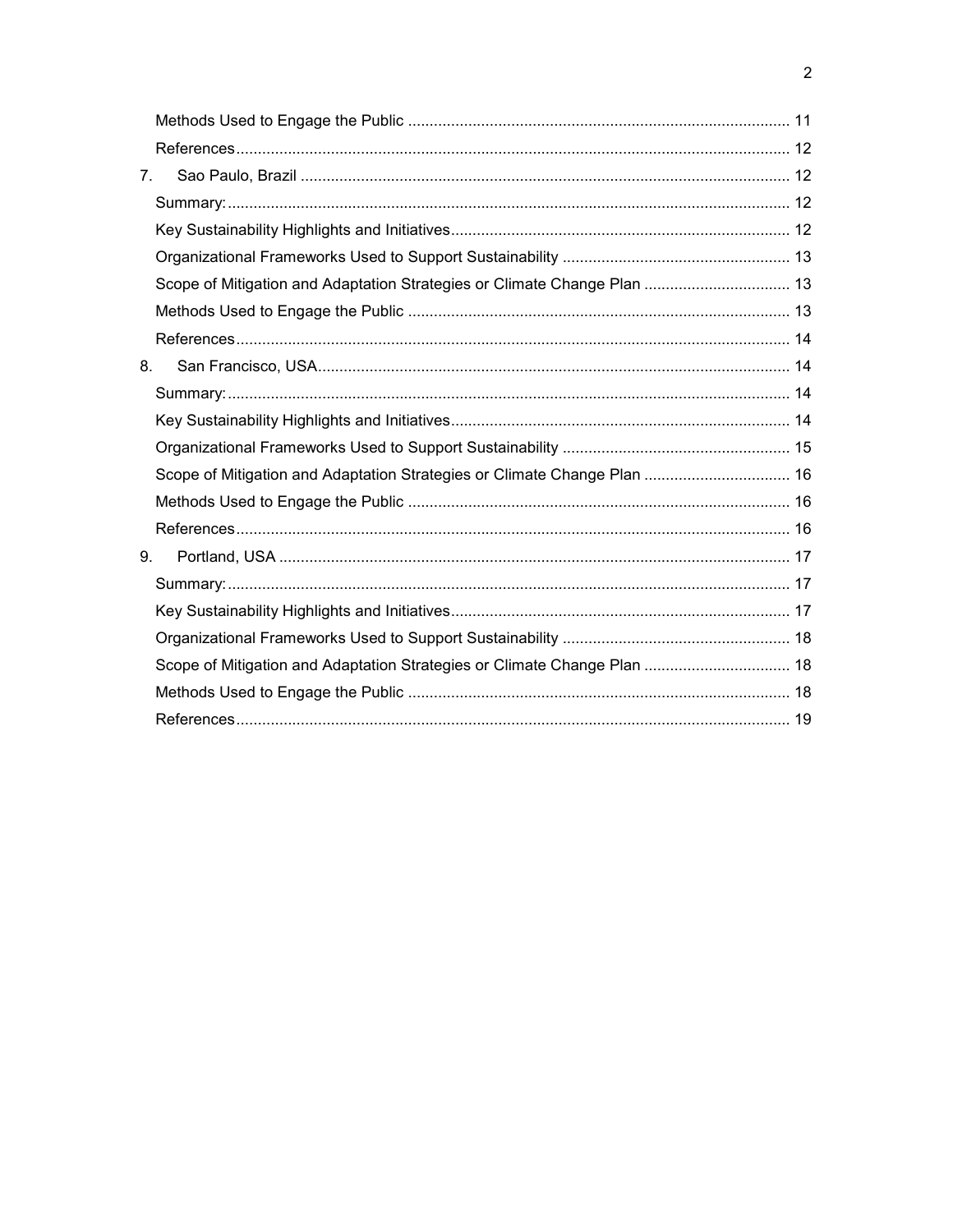| 7 <sub>1</sub> |                                                                          |  |
|----------------|--------------------------------------------------------------------------|--|
|                |                                                                          |  |
|                |                                                                          |  |
|                |                                                                          |  |
|                | Scope of Mitigation and Adaptation Strategies or Climate Change Plan  13 |  |
|                |                                                                          |  |
|                |                                                                          |  |
| 8.             |                                                                          |  |
|                |                                                                          |  |
|                |                                                                          |  |
|                |                                                                          |  |
|                | Scope of Mitigation and Adaptation Strategies or Climate Change Plan  16 |  |
|                |                                                                          |  |
|                |                                                                          |  |
| 9.             |                                                                          |  |
|                |                                                                          |  |
|                |                                                                          |  |
|                |                                                                          |  |
|                | Scope of Mitigation and Adaptation Strategies or Climate Change Plan  18 |  |
|                |                                                                          |  |
|                |                                                                          |  |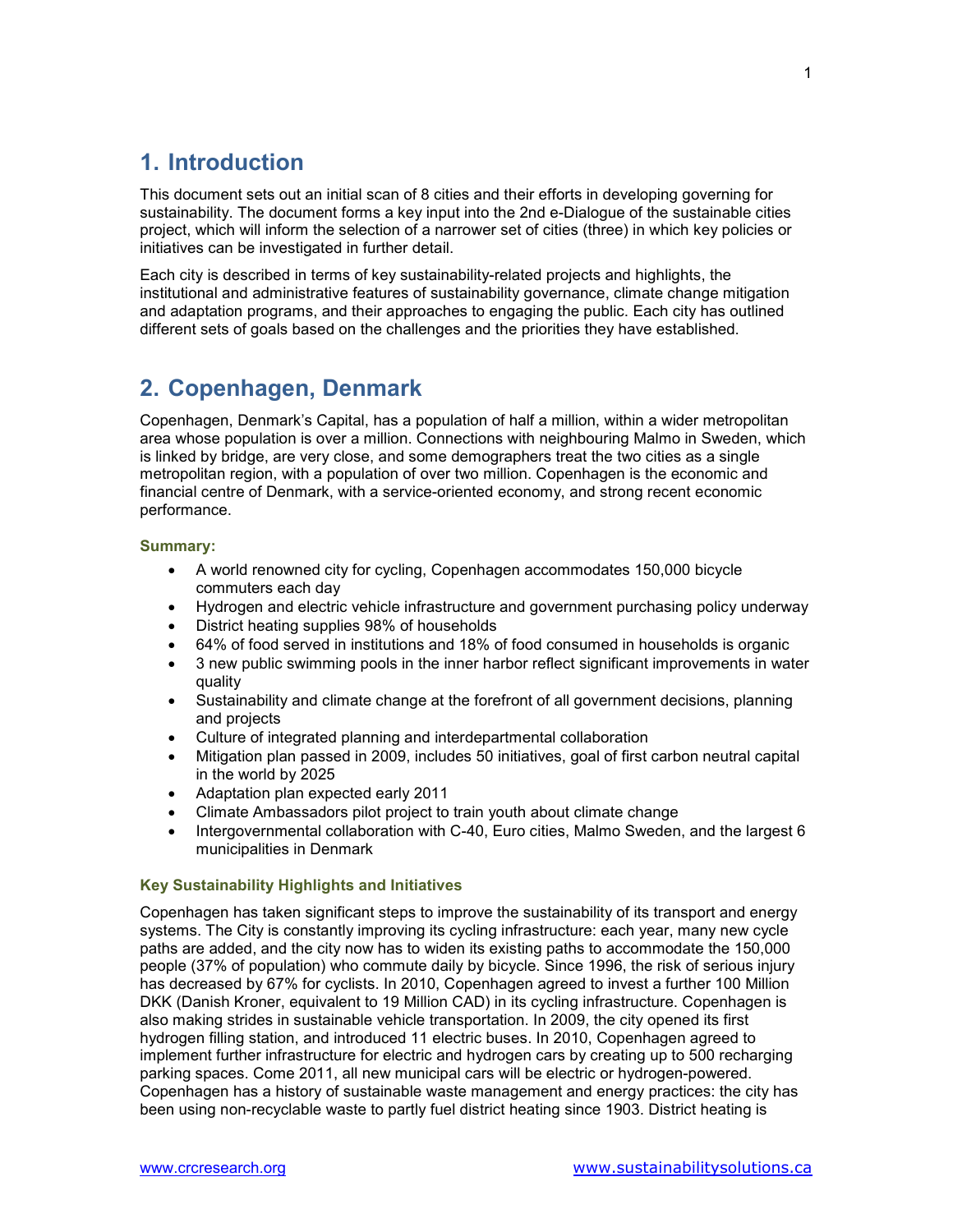## **1. Introduction**

This document sets out an initial scan of 8 cities and their efforts in developing governing for sustainability. The document forms a key input into the 2nd e-Dialogue of the sustainable cities project, which will inform the selection of a narrower set of cities (three) in which key policies or initiatives can be investigated in further detail.

Each city is described in terms of key sustainability-related projects and highlights, the institutional and administrative features of sustainability governance, climate change mitigation and adaptation programs, and their approaches to engaging the public. Each city has outlined different sets of goals based on the challenges and the priorities they have established.

### **2. Copenhagen, Denmark**

Copenhagen, Denmark's Capital, has a population of half a million, within a wider metropolitan area whose population is over a million. Connections with neighbouring Malmo in Sweden, which is linked by bridge, are very close, and some demographers treat the two cities as a single metropolitan region, with a population of over two million. Copenhagen is the economic and financial centre of Denmark, with a service-oriented economy, and strong recent economic performance.

### **Summary:**

- A world renowned city for cycling, Copenhagen accommodates 150,000 bicycle commuters each day
- Hydrogen and electric vehicle infrastructure and government purchasing policy underway
- District heating supplies 98% of households
- 64% of food served in institutions and 18% of food consumed in households is organic
- 3 new public swimming pools in the inner harbor reflect significant improvements in water quality
- Sustainability and climate change at the forefront of all government decisions, planning and projects
- Culture of integrated planning and interdepartmental collaboration
- Mitigation plan passed in 2009, includes 50 initiatives, goal of first carbon neutral capital in the world by 2025
- Adaptation plan expected early 2011
- Climate Ambassadors pilot project to train youth about climate change
- Intergovernmental collaboration with C-40, Euro cities, Malmo Sweden, and the largest 6 municipalities in Denmark

### **Key Sustainability Highlights and Initiatives**

Copenhagen has taken significant steps to improve the sustainability of its transport and energy systems. The City is constantly improving its cycling infrastructure: each year, many new cycle paths are added, and the city now has to widen its existing paths to accommodate the 150,000 people (37% of population) who commute daily by bicycle. Since 1996, the risk of serious injury has decreased by 67% for cyclists. In 2010, Copenhagen agreed to invest a further 100 Million DKK (Danish Kroner, equivalent to 19 Million CAD) in its cycling infrastructure. Copenhagen is also making strides in sustainable vehicle transportation. In 2009, the city opened its first hydrogen filling station, and introduced 11 electric buses. In 2010, Copenhagen agreed to implement further infrastructure for electric and hydrogen cars by creating up to 500 recharging parking spaces. Come 2011, all new municipal cars will be electric or hydrogen-powered. Copenhagen has a history of sustainable waste management and energy practices: the city has been using non-recyclable waste to partly fuel district heating since 1903. District heating is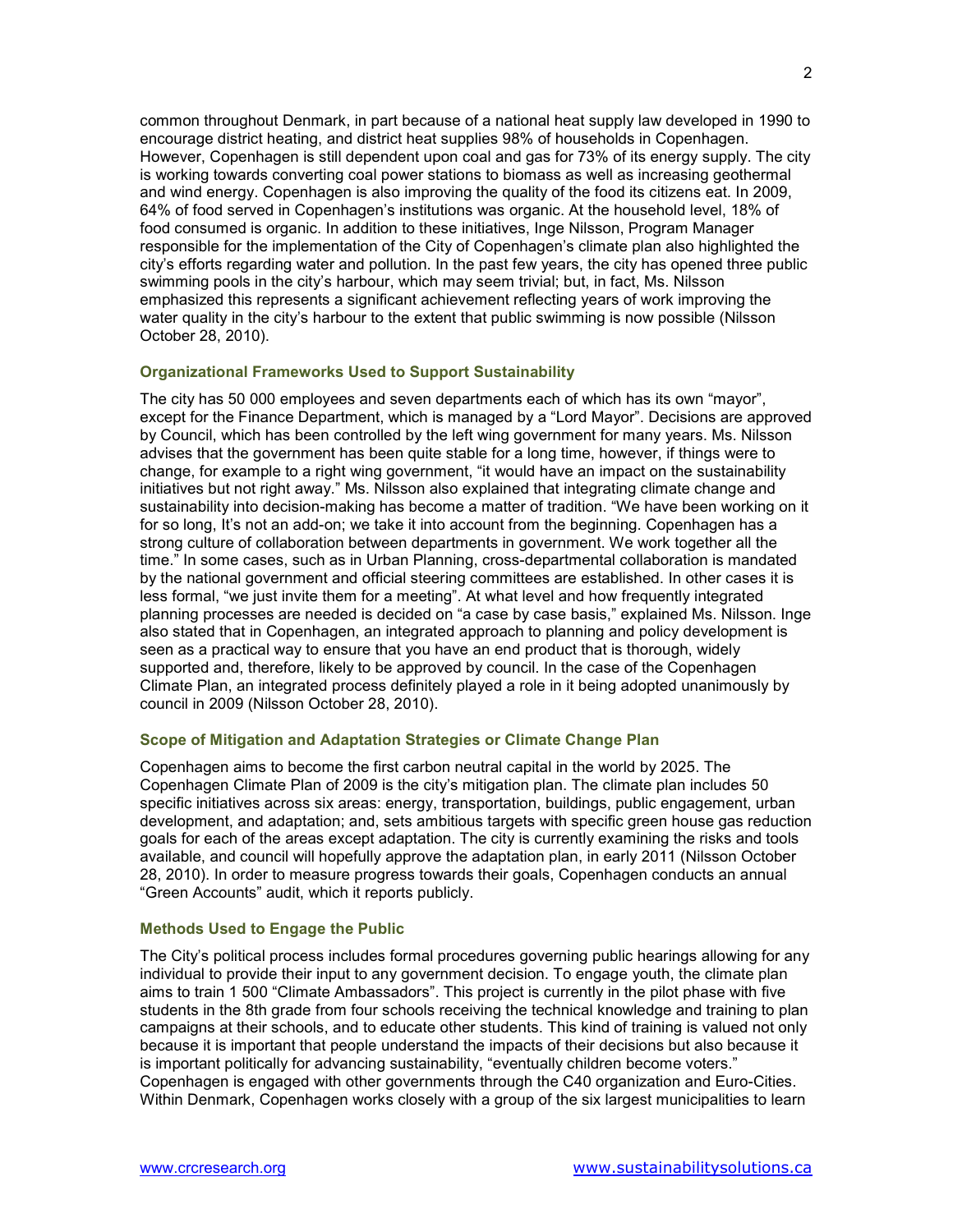common throughout Denmark, in part because of a national heat supply law developed in 1990 to encourage district heating, and district heat supplies 98% of households in Copenhagen. However, Copenhagen is still dependent upon coal and gas for 73% of its energy supply. The city is working towards converting coal power stations to biomass as well as increasing geothermal and wind energy. Copenhagen is also improving the quality of the food its citizens eat. In 2009, 64% of food served in Copenhagen's institutions was organic. At the household level, 18% of food consumed is organic. In addition to these initiatives, Inge Nilsson, Program Manager responsible for the implementation of the City of Copenhagen's climate plan also highlighted the city's efforts regarding water and pollution. In the past few years, the city has opened three public swimming pools in the city's harbour, which may seem trivial; but, in fact, Ms. Nilsson emphasized this represents a significant achievement reflecting years of work improving the water quality in the city's harbour to the extent that public swimming is now possible (Nilsson October 28, 2010).

### **Organizational Frameworks Used to Support Sustainability**

The city has 50 000 employees and seven departments each of which has its own "mayor", except for the Finance Department, which is managed by a "Lord Mayor". Decisions are approved by Council, which has been controlled by the left wing government for many years. Ms. Nilsson advises that the government has been quite stable for a long time, however, if things were to change, for example to a right wing government, "it would have an impact on the sustainability initiatives but not right away." Ms. Nilsson also explained that integrating climate change and sustainability into decision-making has become a matter of tradition. "We have been working on it for so long, It's not an add-on; we take it into account from the beginning. Copenhagen has a strong culture of collaboration between departments in government. We work together all the time." In some cases, such as in Urban Planning, cross-departmental collaboration is mandated by the national government and official steering committees are established. In other cases it is less formal, "we just invite them for a meeting". At what level and how frequently integrated planning processes are needed is decided on "a case by case basis," explained Ms. Nilsson. Inge also stated that in Copenhagen, an integrated approach to planning and policy development is seen as a practical way to ensure that you have an end product that is thorough, widely supported and, therefore, likely to be approved by council. In the case of the Copenhagen Climate Plan, an integrated process definitely played a role in it being adopted unanimously by council in 2009 (Nilsson October 28, 2010).

### **Scope of Mitigation and Adaptation Strategies or Climate Change Plan**

Copenhagen aims to become the first carbon neutral capital in the world by 2025. The Copenhagen Climate Plan of 2009 is the city's mitigation plan. The climate plan includes 50 specific initiatives across six areas: energy, transportation, buildings, public engagement, urban development, and adaptation; and, sets ambitious targets with specific green house gas reduction goals for each of the areas except adaptation. The city is currently examining the risks and tools available, and council will hopefully approve the adaptation plan, in early 2011 (Nilsson October 28, 2010). In order to measure progress towards their goals, Copenhagen conducts an annual "Green Accounts" audit, which it reports publicly.

### **Methods Used to Engage the Public**

The City's political process includes formal procedures governing public hearings allowing for any individual to provide their input to any government decision. To engage youth, the climate plan aims to train 1 500 "Climate Ambassadors". This project is currently in the pilot phase with five students in the 8th grade from four schools receiving the technical knowledge and training to plan campaigns at their schools, and to educate other students. This kind of training is valued not only because it is important that people understand the impacts of their decisions but also because it is important politically for advancing sustainability, "eventually children become voters." Copenhagen is engaged with other governments through the C40 organization and Euro-Cities. Within Denmark, Copenhagen works closely with a group of the six largest municipalities to learn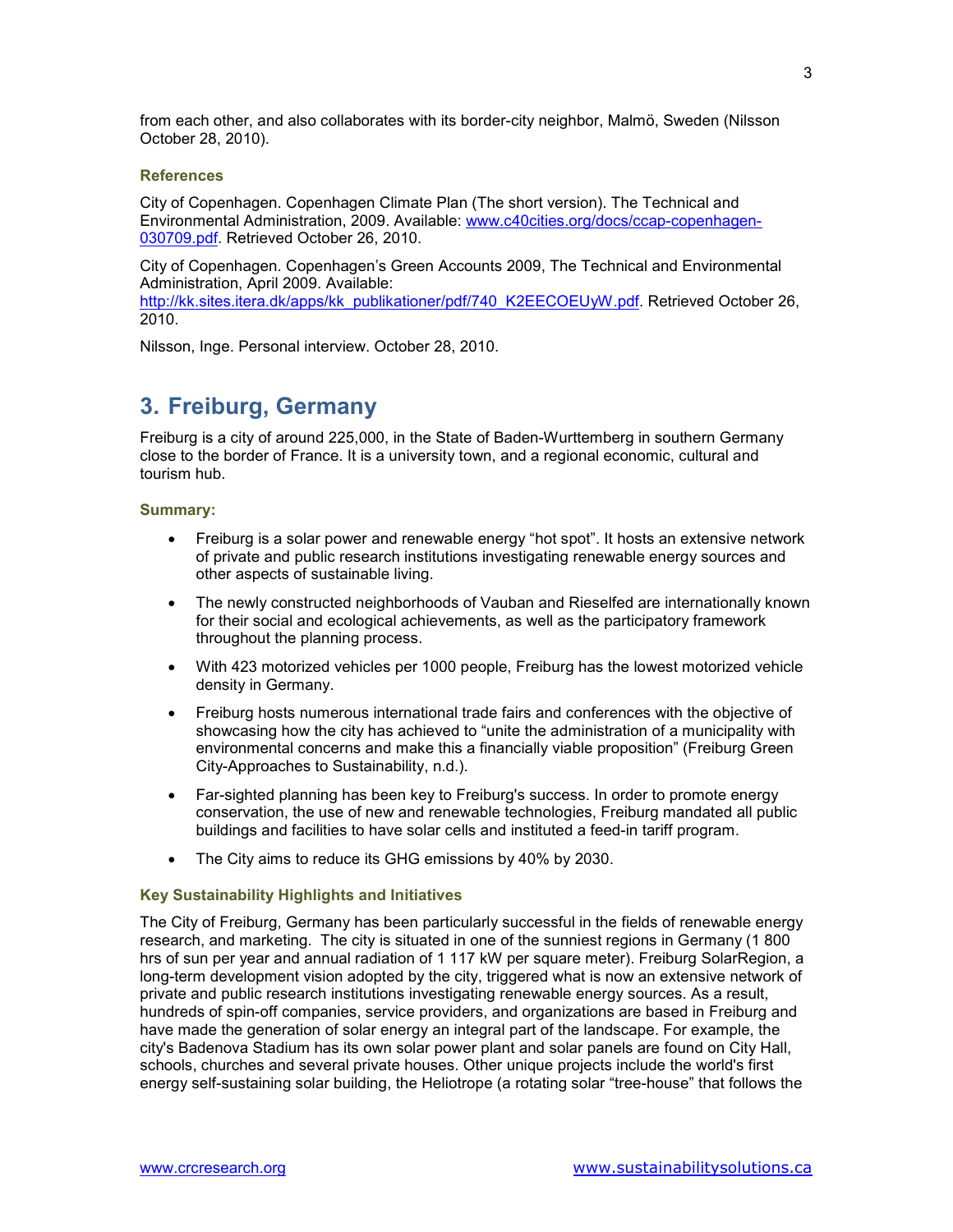from each other, and also collaborates with its border-city neighbor, Malmö, Sweden (Nilsson October 28, 2010).

### **References**

City of Copenhagen. Copenhagen Climate Plan (The short version). The Technical and Environmental Administration, 2009. Available: www.c40cities.org/docs/ccap-copenhagen-030709.pdf. Retrieved October 26, 2010.

City of Copenhagen. Copenhagen's Green Accounts 2009, The Technical and Environmental Administration, April 2009. Available:

http://kk.sites.itera.dk/apps/kk\_publikationer/pdf/740\_K2EECOEUyW.pdf. Retrieved October 26, 2010.

Nilsson, Inge. Personal interview. October 28, 2010.

### **3. Freiburg, Germany**

Freiburg is a city of around 225,000, in the State of Baden-Wurttemberg in southern Germany close to the border of France. It is a university town, and a regional economic, cultural and tourism hub.

### **Summary:**

- Freiburg is a solar power and renewable energy "hot spot". It hosts an extensive network of private and public research institutions investigating renewable energy sources and other aspects of sustainable living.
- The newly constructed neighborhoods of Vauban and Rieselfed are internationally known for their social and ecological achievements, as well as the participatory framework throughout the planning process.
- With 423 motorized vehicles per 1000 people, Freiburg has the lowest motorized vehicle density in Germany.
- Freiburg hosts numerous international trade fairs and conferences with the objective of showcasing how the city has achieved to "unite the administration of a municipality with environmental concerns and make this a financially viable proposition" (Freiburg Green City-Approaches to Sustainability, n.d.).
- Far-sighted planning has been key to Freiburg's success. In order to promote energy conservation, the use of new and renewable technologies, Freiburg mandated all public buildings and facilities to have solar cells and instituted a feed-in tariff program.
- The City aims to reduce its GHG emissions by 40% by 2030.

### **Key Sustainability Highlights and Initiatives**

The City of Freiburg, Germany has been particularly successful in the fields of renewable energy research, and marketing. The city is situated in one of the sunniest regions in Germany (1 800 hrs of sun per year and annual radiation of 1 117 kW per square meter). Freiburg SolarRegion, a long-term development vision adopted by the city, triggered what is now an extensive network of private and public research institutions investigating renewable energy sources. As a result, hundreds of spin-off companies, service providers, and organizations are based in Freiburg and have made the generation of solar energy an integral part of the landscape. For example, the city's Badenova Stadium has its own solar power plant and solar panels are found on City Hall, schools, churches and several private houses. Other unique projects include the world's first energy self-sustaining solar building, the Heliotrope (a rotating solar "tree-house" that follows the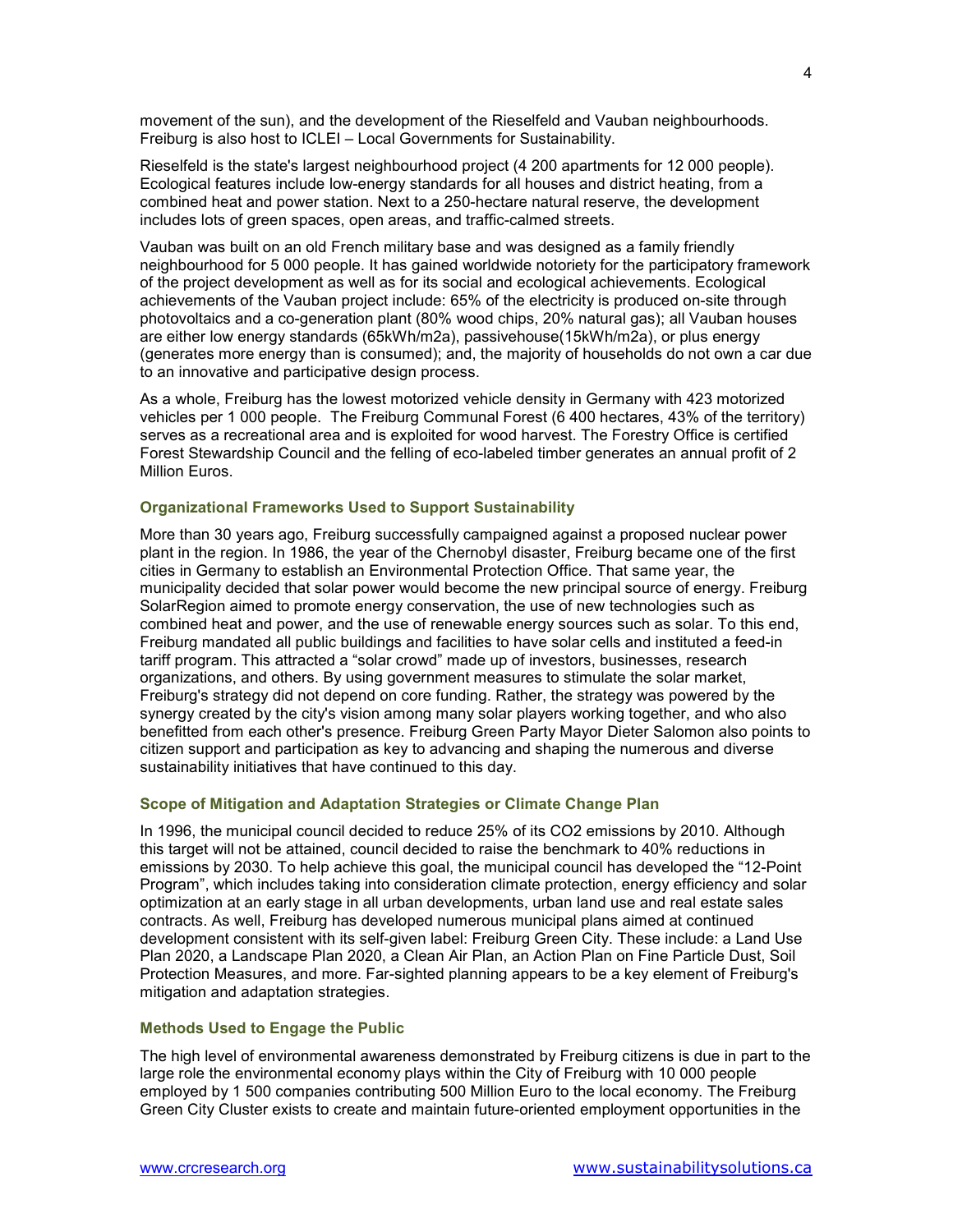movement of the sun), and the development of the Rieselfeld and Vauban neighbourhoods. Freiburg is also host to ICLEI – Local Governments for Sustainability.

Rieselfeld is the state's largest neighbourhood project (4 200 apartments for 12 000 people). Ecological features include low-energy standards for all houses and district heating, from a combined heat and power station. Next to a 250-hectare natural reserve, the development includes lots of green spaces, open areas, and traffic-calmed streets.

Vauban was built on an old French military base and was designed as a family friendly neighbourhood for 5 000 people. It has gained worldwide notoriety for the participatory framework of the project development as well as for its social and ecological achievements. Ecological achievements of the Vauban project include: 65% of the electricity is produced on-site through photovoltaics and a co-generation plant (80% wood chips, 20% natural gas); all Vauban houses are either low energy standards (65kWh/m2a), passivehouse(15kWh/m2a), or plus energy (generates more energy than is consumed); and, the majority of households do not own a car due to an innovative and participative design process.

As a whole, Freiburg has the lowest motorized vehicle density in Germany with 423 motorized vehicles per 1 000 people. The Freiburg Communal Forest (6 400 hectares, 43% of the territory) serves as a recreational area and is exploited for wood harvest. The Forestry Office is certified Forest Stewardship Council and the felling of eco-labeled timber generates an annual profit of 2 Million Euros.

### **Organizational Frameworks Used to Support Sustainability**

More than 30 years ago, Freiburg successfully campaigned against a proposed nuclear power plant in the region. In 1986, the year of the Chernobyl disaster, Freiburg became one of the first cities in Germany to establish an Environmental Protection Office. That same year, the municipality decided that solar power would become the new principal source of energy. Freiburg SolarRegion aimed to promote energy conservation, the use of new technologies such as combined heat and power, and the use of renewable energy sources such as solar. To this end, Freiburg mandated all public buildings and facilities to have solar cells and instituted a feed-in tariff program. This attracted a "solar crowd" made up of investors, businesses, research organizations, and others. By using government measures to stimulate the solar market, Freiburg's strategy did not depend on core funding. Rather, the strategy was powered by the synergy created by the city's vision among many solar players working together, and who also benefitted from each other's presence. Freiburg Green Party Mayor Dieter Salomon also points to citizen support and participation as key to advancing and shaping the numerous and diverse sustainability initiatives that have continued to this day.

### **Scope of Mitigation and Adaptation Strategies or Climate Change Plan**

In 1996, the municipal council decided to reduce 25% of its CO2 emissions by 2010. Although this target will not be attained, council decided to raise the benchmark to 40% reductions in emissions by 2030. To help achieve this goal, the municipal council has developed the "12-Point Program", which includes taking into consideration climate protection, energy efficiency and solar optimization at an early stage in all urban developments, urban land use and real estate sales contracts. As well, Freiburg has developed numerous municipal plans aimed at continued development consistent with its self-given label: Freiburg Green City. These include: a Land Use Plan 2020, a Landscape Plan 2020, a Clean Air Plan, an Action Plan on Fine Particle Dust, Soil Protection Measures, and more. Far-sighted planning appears to be a key element of Freiburg's mitigation and adaptation strategies.

#### **Methods Used to Engage the Public**

The high level of environmental awareness demonstrated by Freiburg citizens is due in part to the large role the environmental economy plays within the City of Freiburg with 10 000 people employed by 1 500 companies contributing 500 Million Euro to the local economy. The Freiburg Green City Cluster exists to create and maintain future-oriented employment opportunities in the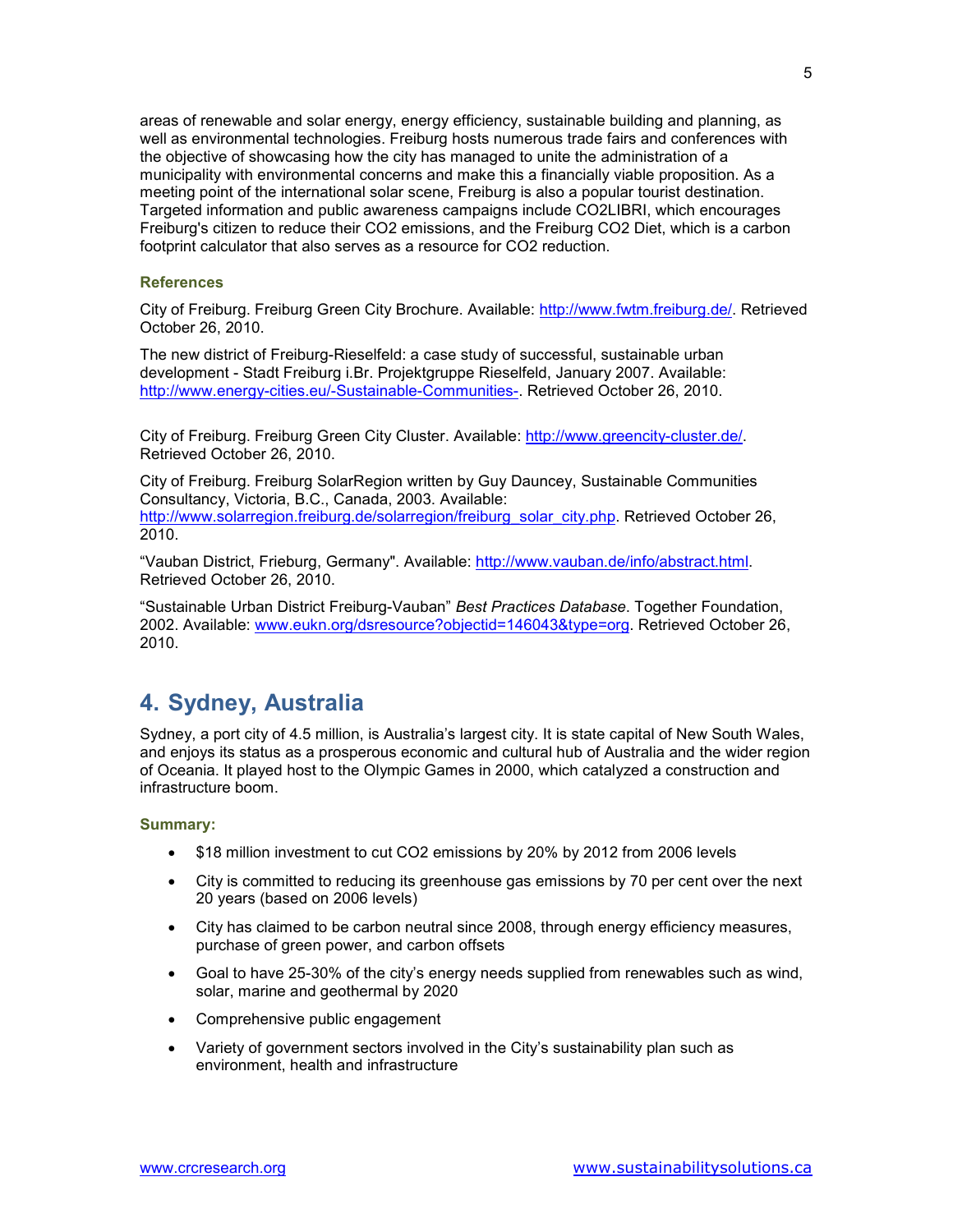areas of renewable and solar energy, energy efficiency, sustainable building and planning, as well as environmental technologies. Freiburg hosts numerous trade fairs and conferences with the objective of showcasing how the city has managed to unite the administration of a municipality with environmental concerns and make this a financially viable proposition. As a meeting point of the international solar scene, Freiburg is also a popular tourist destination. Targeted information and public awareness campaigns include CO2LIBRI, which encourages Freiburg's citizen to reduce their CO2 emissions, and the Freiburg CO2 Diet, which is a carbon footprint calculator that also serves as a resource for CO2 reduction.

### **References**

2010.

City of Freiburg. Freiburg Green City Brochure. Available: http://www.fwtm.freiburg.de/. Retrieved October 26, 2010.

The new district of Freiburg-Rieselfeld: a case study of successful, sustainable urban development - Stadt Freiburg i.Br. Projektgruppe Rieselfeld, January 2007. Available: http://www.energy-cities.eu/-Sustainable-Communities-. Retrieved October 26, 2010.

City of Freiburg. Freiburg Green City Cluster. Available: http://www.greencity-cluster.de/. Retrieved October 26, 2010.

City of Freiburg. Freiburg SolarRegion written by Guy Dauncey, Sustainable Communities Consultancy, Victoria, B.C., Canada, 2003. Available: http://www.solarregion.freiburg.de/solarregion/freiburg\_solar\_city.php. Retrieved October 26,

"Vauban District, Frieburg, Germany". Available: http://www.vauban.de/info/abstract.html. Retrieved October 26, 2010.

"Sustainable Urban District Freiburg-Vauban" *Best Practices Database*. Together Foundation, 2002. Available: www.eukn.org/dsresource?objectid=146043&type=org. Retrieved October 26, 2010.

### **4. Sydney, Australia**

Sydney, a port city of 4.5 million, is Australia's largest city. It is state capital of New South Wales, and enjoys its status as a prosperous economic and cultural hub of Australia and the wider region of Oceania. It played host to the Olympic Games in 2000, which catalyzed a construction and infrastructure boom.

### **Summary:**

- \$18 million investment to cut CO2 emissions by 20% by 2012 from 2006 levels
- City is committed to reducing its greenhouse gas emissions by 70 per cent over the next 20 years (based on 2006 levels)
- City has claimed to be carbon neutral since 2008, through energy efficiency measures, purchase of green power, and carbon offsets
- Goal to have 25-30% of the city's energy needs supplied from renewables such as wind, solar, marine and geothermal by 2020
- Comprehensive public engagement
- Variety of government sectors involved in the City's sustainability plan such as environment, health and infrastructure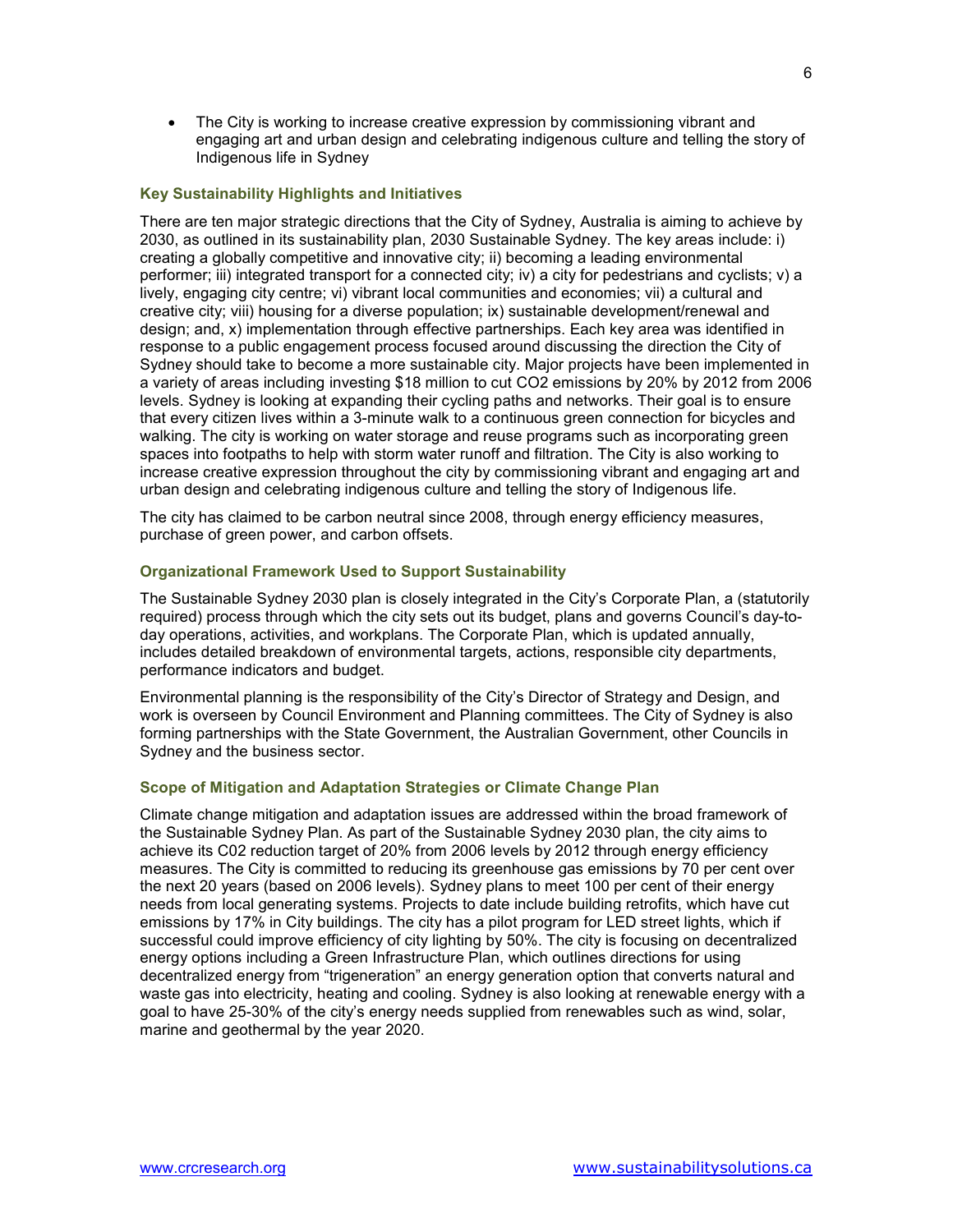• The City is working to increase creative expression by commissioning vibrant and engaging art and urban design and celebrating indigenous culture and telling the story of Indigenous life in Sydney

### **Key Sustainability Highlights and Initiatives**

There are ten major strategic directions that the City of Sydney, Australia is aiming to achieve by 2030, as outlined in its sustainability plan, 2030 Sustainable Sydney. The key areas include: i) creating a globally competitive and innovative city; ii) becoming a leading environmental performer; iii) integrated transport for a connected city; iv) a city for pedestrians and cyclists; v) a lively, engaging city centre; vi) vibrant local communities and economies; vii) a cultural and creative city; viii) housing for a diverse population; ix) sustainable development/renewal and design; and, x) implementation through effective partnerships. Each key area was identified in response to a public engagement process focused around discussing the direction the City of Sydney should take to become a more sustainable city. Major projects have been implemented in a variety of areas including investing \$18 million to cut CO2 emissions by 20% by 2012 from 2006 levels. Sydney is looking at expanding their cycling paths and networks. Their goal is to ensure that every citizen lives within a 3-minute walk to a continuous green connection for bicycles and walking. The city is working on water storage and reuse programs such as incorporating green spaces into footpaths to help with storm water runoff and filtration. The City is also working to increase creative expression throughout the city by commissioning vibrant and engaging art and urban design and celebrating indigenous culture and telling the story of Indigenous life.

The city has claimed to be carbon neutral since 2008, through energy efficiency measures, purchase of green power, and carbon offsets.

### **Organizational Framework Used to Support Sustainability**

The Sustainable Sydney 2030 plan is closely integrated in the City's Corporate Plan, a (statutorily required) process through which the city sets out its budget, plans and governs Council's day-today operations, activities, and workplans. The Corporate Plan, which is updated annually, includes detailed breakdown of environmental targets, actions, responsible city departments, performance indicators and budget.

Environmental planning is the responsibility of the City's Director of Strategy and Design, and work is overseen by Council Environment and Planning committees. The City of Sydney is also forming partnerships with the State Government, the Australian Government, other Councils in Sydney and the business sector.

### **Scope of Mitigation and Adaptation Strategies or Climate Change Plan**

Climate change mitigation and adaptation issues are addressed within the broad framework of the Sustainable Sydney Plan. As part of the Sustainable Sydney 2030 plan, the city aims to achieve its C02 reduction target of 20% from 2006 levels by 2012 through energy efficiency measures. The City is committed to reducing its greenhouse gas emissions by 70 per cent over the next 20 years (based on 2006 levels). Sydney plans to meet 100 per cent of their energy needs from local generating systems. Projects to date include building retrofits, which have cut emissions by 17% in City buildings. The city has a pilot program for LED street lights, which if successful could improve efficiency of city lighting by 50%. The city is focusing on decentralized energy options including a Green Infrastructure Plan, which outlines directions for using decentralized energy from "trigeneration" an energy generation option that converts natural and waste gas into electricity, heating and cooling. Sydney is also looking at renewable energy with a goal to have 25-30% of the city's energy needs supplied from renewables such as wind, solar, marine and geothermal by the year 2020.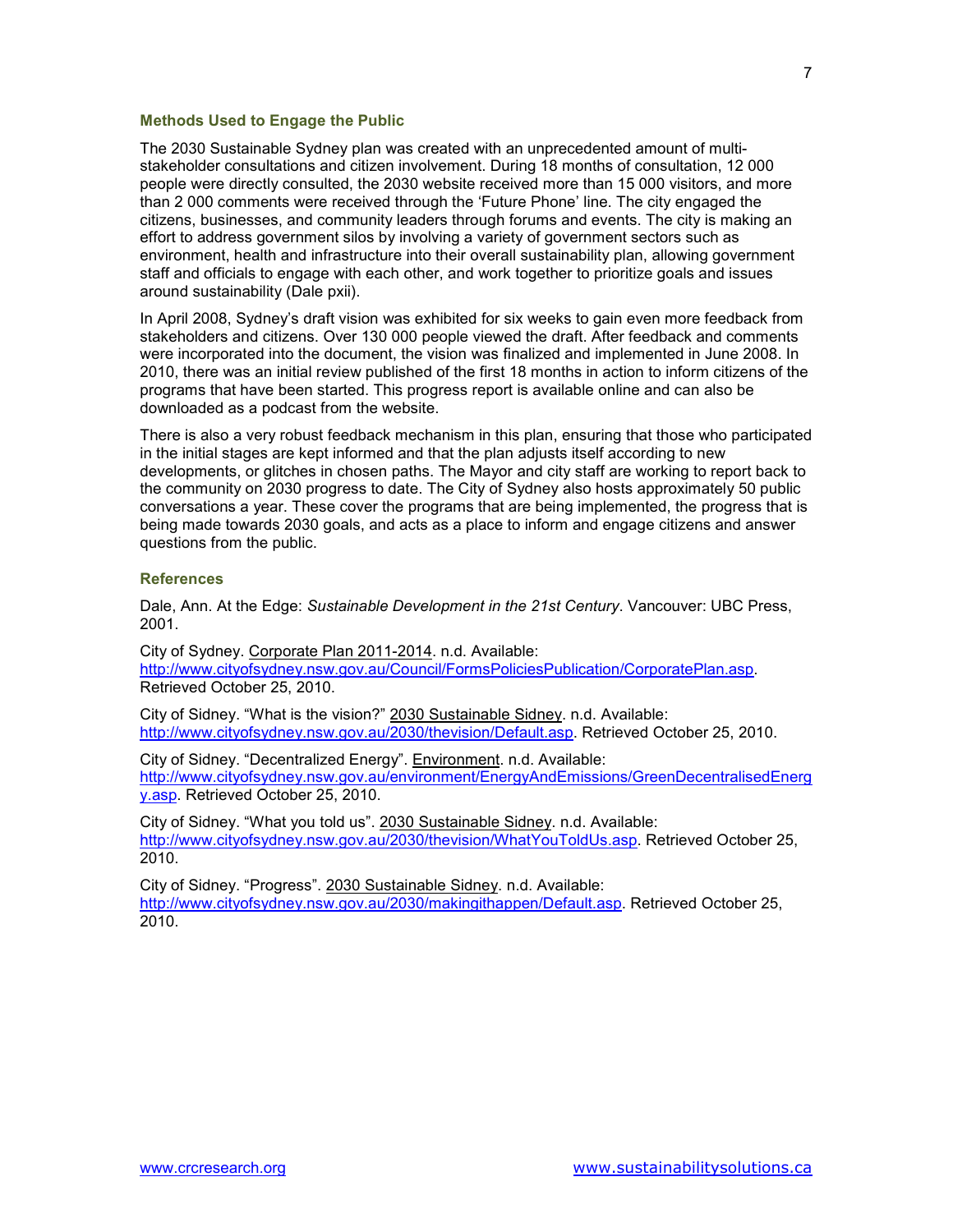### **Methods Used to Engage the Public**

The 2030 Sustainable Sydney plan was created with an unprecedented amount of multistakeholder consultations and citizen involvement. During 18 months of consultation, 12 000 people were directly consulted, the 2030 website received more than 15 000 visitors, and more than 2 000 comments were received through the 'Future Phone' line. The city engaged the citizens, businesses, and community leaders through forums and events. The city is making an effort to address government silos by involving a variety of government sectors such as environment, health and infrastructure into their overall sustainability plan, allowing government staff and officials to engage with each other, and work together to prioritize goals and issues around sustainability (Dale pxii).

In April 2008, Sydney's draft vision was exhibited for six weeks to gain even more feedback from stakeholders and citizens. Over 130 000 people viewed the draft. After feedback and comments were incorporated into the document, the vision was finalized and implemented in June 2008. In 2010, there was an initial review published of the first 18 months in action to inform citizens of the programs that have been started. This progress report is available online and can also be downloaded as a podcast from the website.

There is also a very robust feedback mechanism in this plan, ensuring that those who participated in the initial stages are kept informed and that the plan adjusts itself according to new developments, or glitches in chosen paths. The Mayor and city staff are working to report back to the community on 2030 progress to date. The City of Sydney also hosts approximately 50 public conversations a year. These cover the programs that are being implemented, the progress that is being made towards 2030 goals, and acts as a place to inform and engage citizens and answer questions from the public.

#### **References**

Dale, Ann. At the Edge: *Sustainable Development in the 21st Century*. Vancouver: UBC Press, 2001.

City of Sydney. Corporate Plan 2011-2014. n.d. Available: http://www.cityofsydney.nsw.gov.au/Council/FormsPoliciesPublication/CorporatePlan.asp. Retrieved October 25, 2010.

City of Sidney. "What is the vision?" 2030 Sustainable Sidney. n.d. Available: http://www.cityofsydney.nsw.gov.au/2030/thevision/Default.asp. Retrieved October 25, 2010.

City of Sidney. "Decentralized Energy". Environment. n.d. Available: http://www.cityofsydney.nsw.gov.au/environment/EnergyAndEmissions/GreenDecentralisedEnerg y.asp. Retrieved October 25, 2010.

City of Sidney. "What you told us". 2030 Sustainable Sidney. n.d. Available: http://www.cityofsydney.nsw.gov.au/2030/thevision/WhatYouToldUs.asp. Retrieved October 25, 2010.

City of Sidney. "Progress". 2030 Sustainable Sidney. n.d. Available: http://www.cityofsydney.nsw.gov.au/2030/makingithappen/Default.asp. Retrieved October 25, 2010.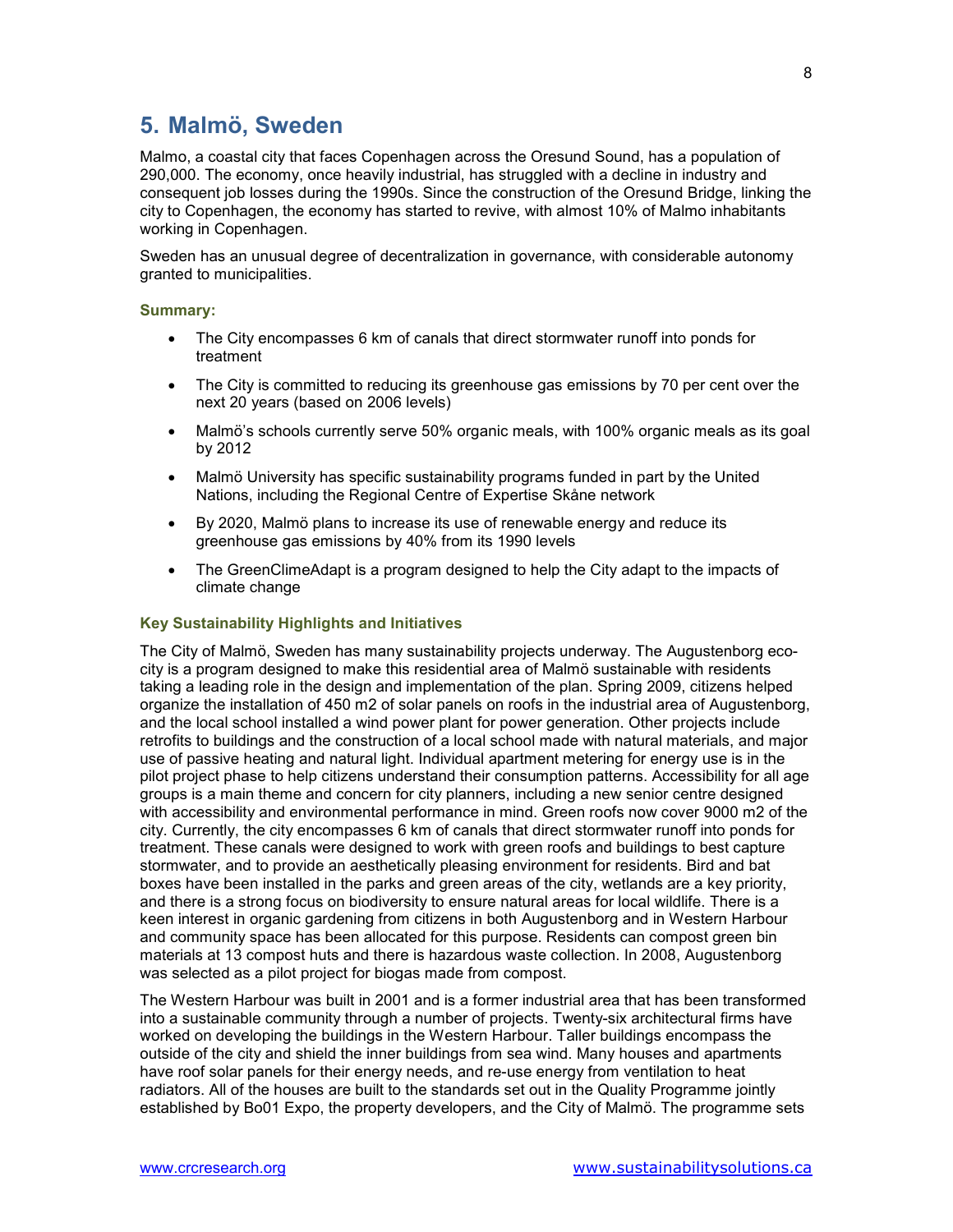### **5. Malmö, Sweden**

Malmo, a coastal city that faces Copenhagen across the Oresund Sound, has a population of 290,000. The economy, once heavily industrial, has struggled with a decline in industry and consequent job losses during the 1990s. Since the construction of the Oresund Bridge, linking the city to Copenhagen, the economy has started to revive, with almost 10% of Malmo inhabitants working in Copenhagen.

Sweden has an unusual degree of decentralization in governance, with considerable autonomy granted to municipalities.

### **Summary:**

- The City encompasses 6 km of canals that direct stormwater runoff into ponds for treatment
- The City is committed to reducing its greenhouse gas emissions by 70 per cent over the next 20 years (based on 2006 levels)
- Malmö's schools currently serve 50% organic meals, with 100% organic meals as its goal by 2012
- Malmö University has specific sustainability programs funded in part by the United Nations, including the Regional Centre of Expertise Skåne network
- By 2020, Malmö plans to increase its use of renewable energy and reduce its greenhouse gas emissions by 40% from its 1990 levels
- The GreenClimeAdapt is a program designed to help the City adapt to the impacts of climate change

### **Key Sustainability Highlights and Initiatives**

The City of Malmö, Sweden has many sustainability projects underway. The Augustenborg ecocity is a program designed to make this residential area of Malmö sustainable with residents taking a leading role in the design and implementation of the plan. Spring 2009, citizens helped organize the installation of 450 m2 of solar panels on roofs in the industrial area of Augustenborg, and the local school installed a wind power plant for power generation. Other projects include retrofits to buildings and the construction of a local school made with natural materials, and major use of passive heating and natural light. Individual apartment metering for energy use is in the pilot project phase to help citizens understand their consumption patterns. Accessibility for all age groups is a main theme and concern for city planners, including a new senior centre designed with accessibility and environmental performance in mind. Green roofs now cover 9000 m2 of the city. Currently, the city encompasses 6 km of canals that direct stormwater runoff into ponds for treatment. These canals were designed to work with green roofs and buildings to best capture stormwater, and to provide an aesthetically pleasing environment for residents. Bird and bat boxes have been installed in the parks and green areas of the city, wetlands are a key priority, and there is a strong focus on biodiversity to ensure natural areas for local wildlife. There is a keen interest in organic gardening from citizens in both Augustenborg and in Western Harbour and community space has been allocated for this purpose. Residents can compost green bin materials at 13 compost huts and there is hazardous waste collection. In 2008, Augustenborg was selected as a pilot project for biogas made from compost.

The Western Harbour was built in 2001 and is a former industrial area that has been transformed into a sustainable community through a number of projects. Twenty-six architectural firms have worked on developing the buildings in the Western Harbour. Taller buildings encompass the outside of the city and shield the inner buildings from sea wind. Many houses and apartments have roof solar panels for their energy needs, and re-use energy from ventilation to heat radiators. All of the houses are built to the standards set out in the Quality Programme jointly established by Bo01 Expo, the property developers, and the City of Malmö. The programme sets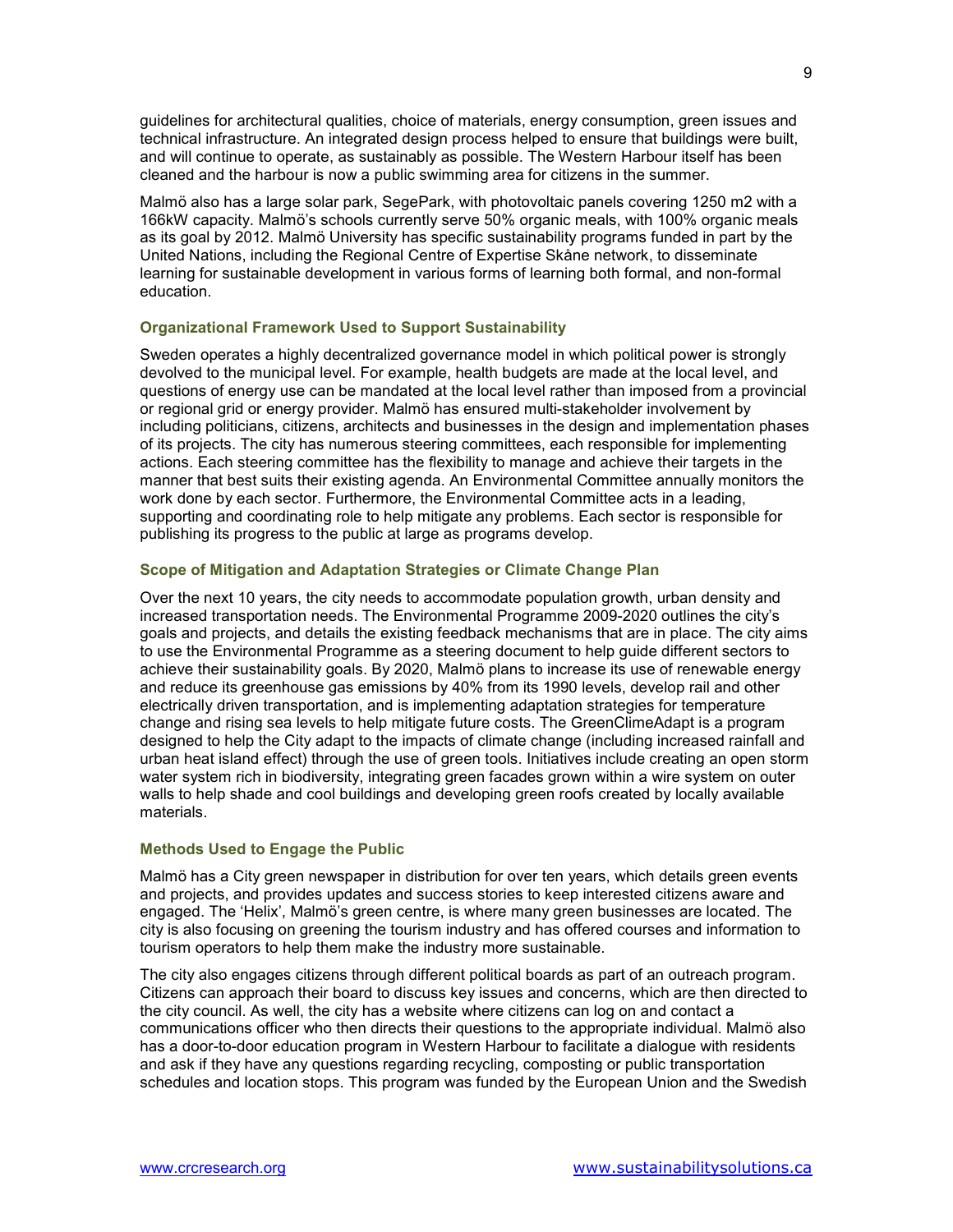guidelines for architectural qualities, choice of materials, energy consumption, green issues and technical infrastructure. An integrated design process helped to ensure that buildings were built, and will continue to operate, as sustainably as possible. The Western Harbour itself has been cleaned and the harbour is now a public swimming area for citizens in the summer.

Malmö also has a large solar park, SegePark, with photovoltaic panels covering 1250 m2 with a 166kW capacity. Malmö's schools currently serve 50% organic meals, with 100% organic meals as its goal by 2012. Malmö University has specific sustainability programs funded in part by the United Nations, including the Regional Centre of Expertise Skåne network, to disseminate learning for sustainable development in various forms of learning both formal, and non-formal education.

### **Organizational Framework Used to Support Sustainability**

Sweden operates a highly decentralized governance model in which political power is strongly devolved to the municipal level. For example, health budgets are made at the local level, and questions of energy use can be mandated at the local level rather than imposed from a provincial or regional grid or energy provider. Malmö has ensured multi-stakeholder involvement by including politicians, citizens, architects and businesses in the design and implementation phases of its projects. The city has numerous steering committees, each responsible for implementing actions. Each steering committee has the flexibility to manage and achieve their targets in the manner that best suits their existing agenda. An Environmental Committee annually monitors the work done by each sector. Furthermore, the Environmental Committee acts in a leading, supporting and coordinating role to help mitigate any problems. Each sector is responsible for publishing its progress to the public at large as programs develop.

### **Scope of Mitigation and Adaptation Strategies or Climate Change Plan**

Over the next 10 years, the city needs to accommodate population growth, urban density and increased transportation needs. The Environmental Programme 2009-2020 outlines the city's goals and projects, and details the existing feedback mechanisms that are in place. The city aims to use the Environmental Programme as a steering document to help guide different sectors to achieve their sustainability goals. By 2020, Malmö plans to increase its use of renewable energy and reduce its greenhouse gas emissions by 40% from its 1990 levels, develop rail and other electrically driven transportation, and is implementing adaptation strategies for temperature change and rising sea levels to help mitigate future costs. The GreenClimeAdapt is a program designed to help the City adapt to the impacts of climate change (including increased rainfall and urban heat island effect) through the use of green tools. Initiatives include creating an open storm water system rich in biodiversity, integrating green facades grown within a wire system on outer walls to help shade and cool buildings and developing green roofs created by locally available materials.

#### **Methods Used to Engage the Public**

Malmö has a City green newspaper in distribution for over ten years, which details green events and projects, and provides updates and success stories to keep interested citizens aware and engaged. The 'Helix', Malmö's green centre, is where many green businesses are located. The city is also focusing on greening the tourism industry and has offered courses and information to tourism operators to help them make the industry more sustainable.

The city also engages citizens through different political boards as part of an outreach program. Citizens can approach their board to discuss key issues and concerns, which are then directed to the city council. As well, the city has a website where citizens can log on and contact a communications officer who then directs their questions to the appropriate individual. Malmö also has a door-to-door education program in Western Harbour to facilitate a dialogue with residents and ask if they have any questions regarding recycling, composting or public transportation schedules and location stops. This program was funded by the European Union and the Swedish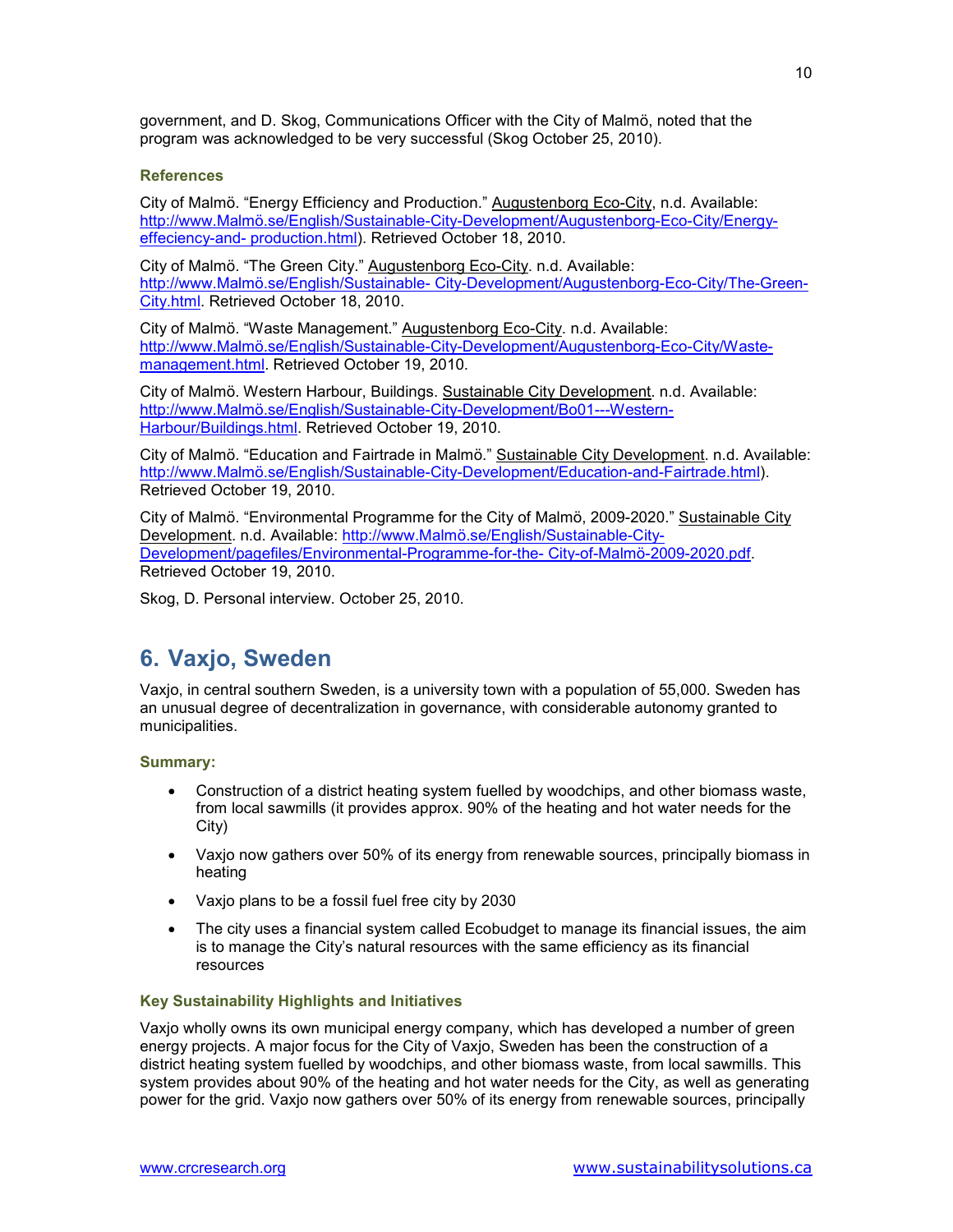government, and D. Skog, Communications Officer with the City of Malmö, noted that the program was acknowledged to be very successful (Skog October 25, 2010).

### **References**

City of Malmö. "Energy Efficiency and Production." Augustenborg Eco-City, n.d. Available: http://www.Malmö.se/English/Sustainable-City-Development/Augustenborg-Eco-City/Energyeffeciency-and- production.html). Retrieved October 18, 2010.

City of Malmö. "The Green City." Augustenborg Eco-City. n.d. Available: http://www.Malmö.se/English/Sustainable- City-Development/Augustenborg-Eco-City/The-Green-City.html. Retrieved October 18, 2010.

City of Malmö. "Waste Management." Augustenborg Eco-City. n.d. Available: http://www.Malmö.se/English/Sustainable-City-Development/Augustenborg-Eco-City/Wastemanagement.html. Retrieved October 19, 2010.

City of Malmö. Western Harbour, Buildings. Sustainable City Development. n.d. Available: http://www.Malmö.se/English/Sustainable-City-Development/Bo01---Western-Harbour/Buildings.html. Retrieved October 19, 2010.

City of Malmö. "Education and Fairtrade in Malmö." Sustainable City Development. n.d. Available: http://www.Malmö.se/English/Sustainable-City-Development/Education-and-Fairtrade.html). Retrieved October 19, 2010.

City of Malmö. "Environmental Programme for the City of Malmö, 2009-2020." Sustainable City Development. n.d. Available: http://www.Malmö.se/English/Sustainable-City-Development/pagefiles/Environmental-Programme-for-the- City-of-Malmö-2009-2020.pdf. Retrieved October 19, 2010.

Skog, D. Personal interview. October 25, 2010.

### **6. Vaxjo, Sweden**

Vaxjo, in central southern Sweden, is a university town with a population of 55,000. Sweden has an unusual degree of decentralization in governance, with considerable autonomy granted to municipalities.

### **Summary:**

- Construction of a district heating system fuelled by woodchips, and other biomass waste, from local sawmills (it provides approx. 90% of the heating and hot water needs for the City)
- Vaxjo now gathers over 50% of its energy from renewable sources, principally biomass in heating
- Vaxjo plans to be a fossil fuel free city by 2030
- The city uses a financial system called Ecobudget to manage its financial issues, the aim is to manage the City's natural resources with the same efficiency as its financial resources

### **Key Sustainability Highlights and Initiatives**

Vaxjo wholly owns its own municipal energy company, which has developed a number of green energy projects. A major focus for the City of Vaxjo, Sweden has been the construction of a district heating system fuelled by woodchips, and other biomass waste, from local sawmills. This system provides about 90% of the heating and hot water needs for the City, as well as generating power for the grid. Vaxjo now gathers over 50% of its energy from renewable sources, principally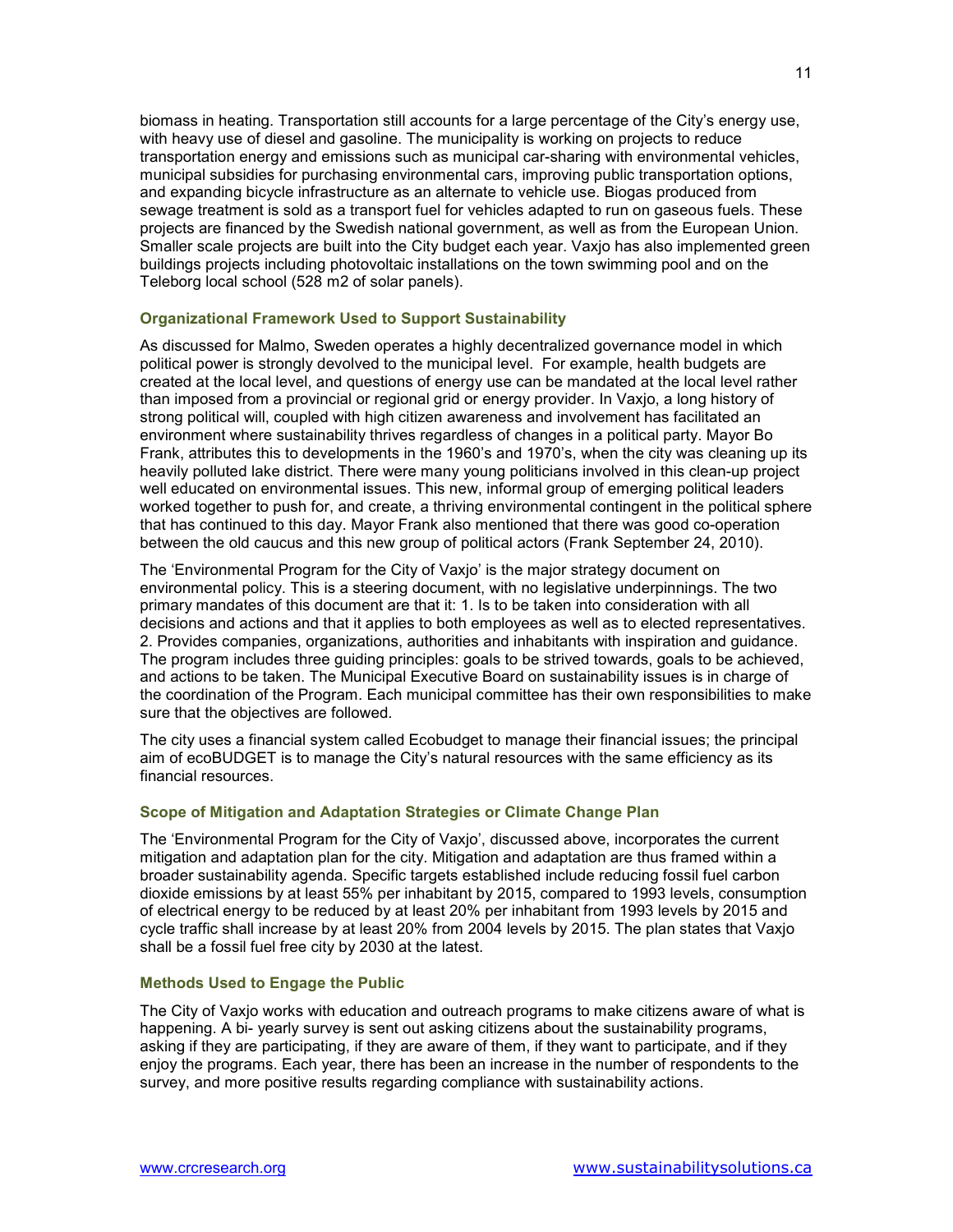biomass in heating. Transportation still accounts for a large percentage of the City's energy use, with heavy use of diesel and gasoline. The municipality is working on projects to reduce transportation energy and emissions such as municipal car-sharing with environmental vehicles, municipal subsidies for purchasing environmental cars, improving public transportation options, and expanding bicycle infrastructure as an alternate to vehicle use. Biogas produced from sewage treatment is sold as a transport fuel for vehicles adapted to run on gaseous fuels. These projects are financed by the Swedish national government, as well as from the European Union. Smaller scale projects are built into the City budget each year. Vaxjo has also implemented green buildings projects including photovoltaic installations on the town swimming pool and on the Teleborg local school (528 m2 of solar panels).

### **Organizational Framework Used to Support Sustainability**

As discussed for Malmo, Sweden operates a highly decentralized governance model in which political power is strongly devolved to the municipal level. For example, health budgets are created at the local level, and questions of energy use can be mandated at the local level rather than imposed from a provincial or regional grid or energy provider. In Vaxjo, a long history of strong political will, coupled with high citizen awareness and involvement has facilitated an environment where sustainability thrives regardless of changes in a political party. Mayor Bo Frank, attributes this to developments in the 1960's and 1970's, when the city was cleaning up its heavily polluted lake district. There were many young politicians involved in this clean-up project well educated on environmental issues. This new, informal group of emerging political leaders worked together to push for, and create, a thriving environmental contingent in the political sphere that has continued to this day. Mayor Frank also mentioned that there was good co-operation between the old caucus and this new group of political actors (Frank September 24, 2010).

The 'Environmental Program for the City of Vaxjo' is the major strategy document on environmental policy. This is a steering document, with no legislative underpinnings. The two primary mandates of this document are that it: 1. Is to be taken into consideration with all decisions and actions and that it applies to both employees as well as to elected representatives. 2. Provides companies, organizations, authorities and inhabitants with inspiration and guidance. The program includes three guiding principles: goals to be strived towards, goals to be achieved, and actions to be taken. The Municipal Executive Board on sustainability issues is in charge of the coordination of the Program. Each municipal committee has their own responsibilities to make sure that the objectives are followed.

The city uses a financial system called Ecobudget to manage their financial issues; the principal aim of ecoBUDGET is to manage the City's natural resources with the same efficiency as its financial resources.

### **Scope of Mitigation and Adaptation Strategies or Climate Change Plan**

The 'Environmental Program for the City of Vaxjo', discussed above, incorporates the current mitigation and adaptation plan for the city. Mitigation and adaptation are thus framed within a broader sustainability agenda. Specific targets established include reducing fossil fuel carbon dioxide emissions by at least 55% per inhabitant by 2015, compared to 1993 levels, consumption of electrical energy to be reduced by at least 20% per inhabitant from 1993 levels by 2015 and cycle traffic shall increase by at least 20% from 2004 levels by 2015. The plan states that Vaxjo shall be a fossil fuel free city by 2030 at the latest.

### **Methods Used to Engage the Public**

The City of Vaxjo works with education and outreach programs to make citizens aware of what is happening. A bi- yearly survey is sent out asking citizens about the sustainability programs, asking if they are participating, if they are aware of them, if they want to participate, and if they enjoy the programs. Each year, there has been an increase in the number of respondents to the survey, and more positive results regarding compliance with sustainability actions.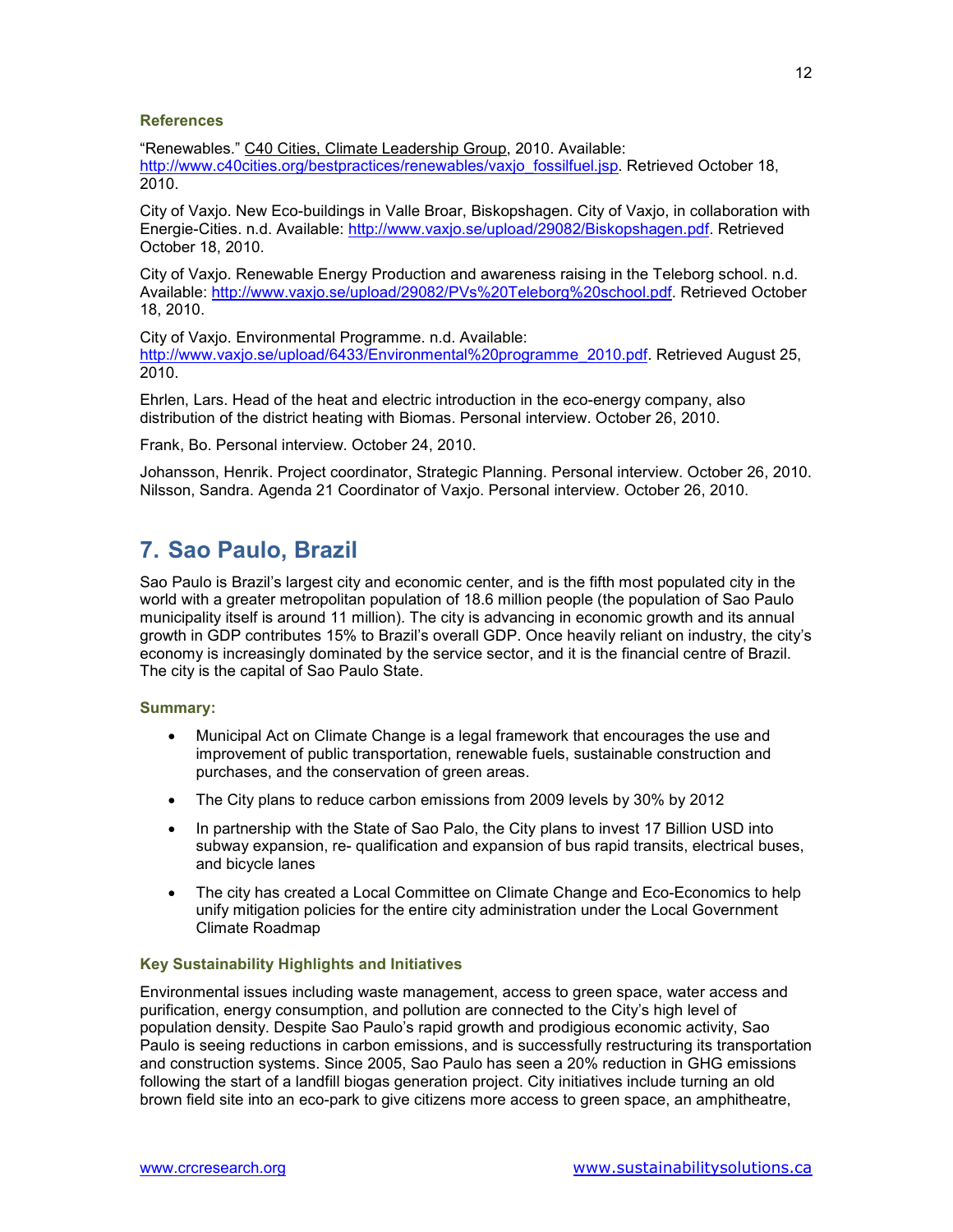### **References**

"Renewables." C40 Cities, Climate Leadership Group, 2010. Available: http://www.c40cities.org/bestpractices/renewables/vaxjo\_fossilfuel.jsp. Retrieved October 18, 2010.

City of Vaxjo. New Eco-buildings in Valle Broar, Biskopshagen. City of Vaxjo, in collaboration with Energie-Cities. n.d. Available: http://www.vaxjo.se/upload/29082/Biskopshagen.pdf. Retrieved October 18, 2010.

City of Vaxjo. Renewable Energy Production and awareness raising in the Teleborg school. n.d. Available: http://www.vaxjo.se/upload/29082/PVs%20Teleborg%20school.pdf. Retrieved October 18, 2010.

City of Vaxjo. Environmental Programme. n.d. Available: http://www.vaxjo.se/upload/6433/Environmental%20programme\_2010.pdf. Retrieved August 25, 2010.

Ehrlen, Lars. Head of the heat and electric introduction in the eco-energy company, also distribution of the district heating with Biomas. Personal interview. October 26, 2010.

Frank, Bo. Personal interview. October 24, 2010.

Johansson, Henrik. Project coordinator, Strategic Planning. Personal interview. October 26, 2010. Nilsson, Sandra. Agenda 21 Coordinator of Vaxjo. Personal interview. October 26, 2010.

### **7. Sao Paulo, Brazil**

Sao Paulo is Brazil's largest city and economic center, and is the fifth most populated city in the world with a greater metropolitan population of 18.6 million people (the population of Sao Paulo municipality itself is around 11 million). The city is advancing in economic growth and its annual growth in GDP contributes 15% to Brazil's overall GDP. Once heavily reliant on industry, the city's economy is increasingly dominated by the service sector, and it is the financial centre of Brazil. The city is the capital of Sao Paulo State.

### **Summary:**

- Municipal Act on Climate Change is a legal framework that encourages the use and improvement of public transportation, renewable fuels, sustainable construction and purchases, and the conservation of green areas.
- The City plans to reduce carbon emissions from 2009 levels by 30% by 2012
- In partnership with the State of Sao Palo, the City plans to invest 17 Billion USD into subway expansion, re- qualification and expansion of bus rapid transits, electrical buses, and bicycle lanes
- The city has created a Local Committee on Climate Change and Eco-Economics to help unify mitigation policies for the entire city administration under the Local Government Climate Roadmap

### **Key Sustainability Highlights and Initiatives**

Environmental issues including waste management, access to green space, water access and purification, energy consumption, and pollution are connected to the City's high level of population density. Despite Sao Paulo's rapid growth and prodigious economic activity, Sao Paulo is seeing reductions in carbon emissions, and is successfully restructuring its transportation and construction systems. Since 2005, Sao Paulo has seen a 20% reduction in GHG emissions following the start of a landfill biogas generation project. City initiatives include turning an old brown field site into an eco-park to give citizens more access to green space, an amphitheatre,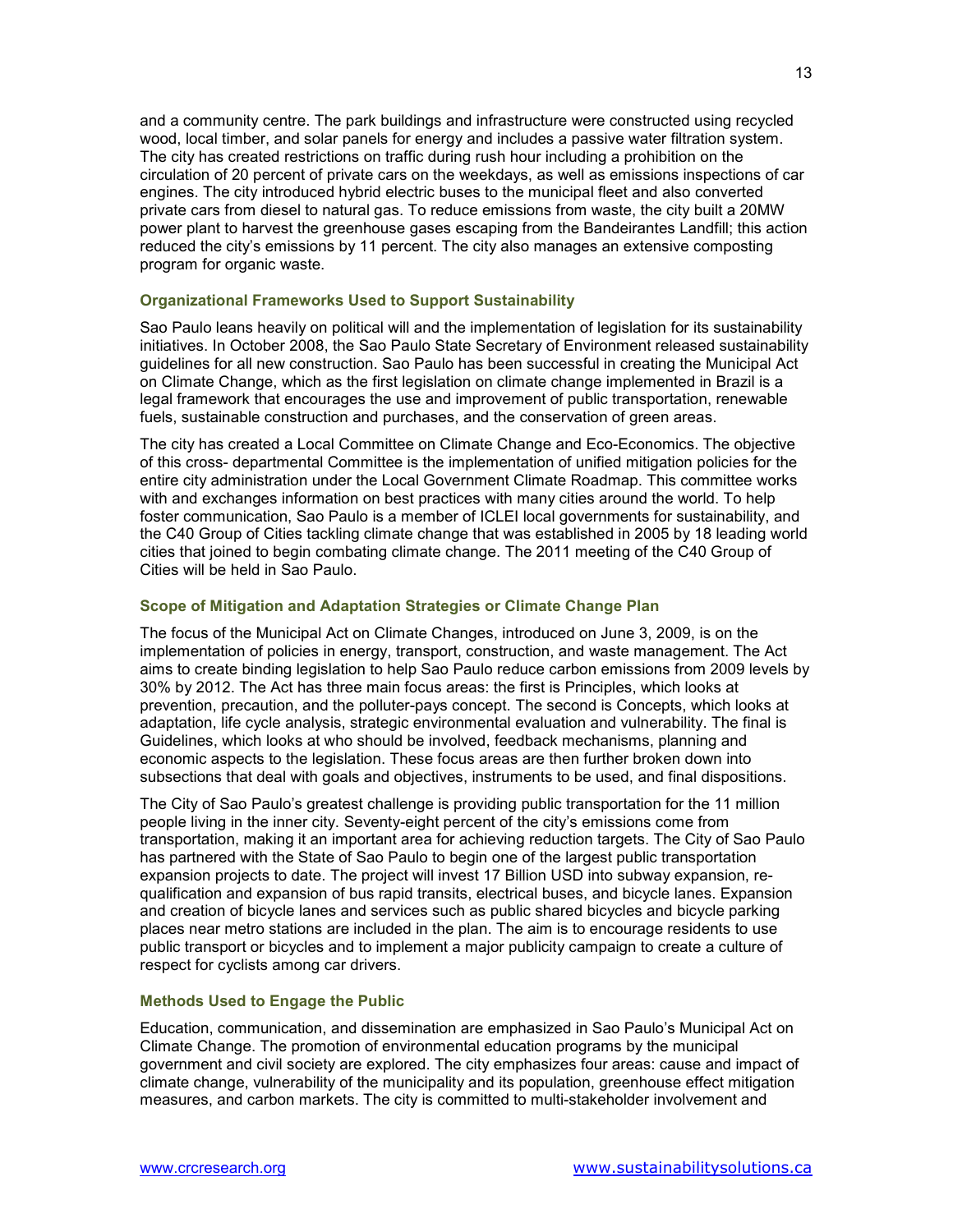and a community centre. The park buildings and infrastructure were constructed using recycled wood, local timber, and solar panels for energy and includes a passive water filtration system. The city has created restrictions on traffic during rush hour including a prohibition on the circulation of 20 percent of private cars on the weekdays, as well as emissions inspections of car engines. The city introduced hybrid electric buses to the municipal fleet and also converted private cars from diesel to natural gas. To reduce emissions from waste, the city built a 20MW power plant to harvest the greenhouse gases escaping from the Bandeirantes Landfill; this action reduced the city's emissions by 11 percent. The city also manages an extensive composting program for organic waste.

### **Organizational Frameworks Used to Support Sustainability**

Sao Paulo leans heavily on political will and the implementation of legislation for its sustainability initiatives. In October 2008, the Sao Paulo State Secretary of Environment released sustainability guidelines for all new construction. Sao Paulo has been successful in creating the Municipal Act on Climate Change, which as the first legislation on climate change implemented in Brazil is a legal framework that encourages the use and improvement of public transportation, renewable fuels, sustainable construction and purchases, and the conservation of green areas.

The city has created a Local Committee on Climate Change and Eco-Economics. The objective of this cross- departmental Committee is the implementation of unified mitigation policies for the entire city administration under the Local Government Climate Roadmap. This committee works with and exchanges information on best practices with many cities around the world. To help foster communication, Sao Paulo is a member of ICLEI local governments for sustainability, and the C40 Group of Cities tackling climate change that was established in 2005 by 18 leading world cities that joined to begin combating climate change. The 2011 meeting of the C40 Group of Cities will be held in Sao Paulo.

### **Scope of Mitigation and Adaptation Strategies or Climate Change Plan**

The focus of the Municipal Act on Climate Changes, introduced on June 3, 2009, is on the implementation of policies in energy, transport, construction, and waste management. The Act aims to create binding legislation to help Sao Paulo reduce carbon emissions from 2009 levels by 30% by 2012. The Act has three main focus areas: the first is Principles, which looks at prevention, precaution, and the polluter-pays concept. The second is Concepts, which looks at adaptation, life cycle analysis, strategic environmental evaluation and vulnerability. The final is Guidelines, which looks at who should be involved, feedback mechanisms, planning and economic aspects to the legislation. These focus areas are then further broken down into subsections that deal with goals and objectives, instruments to be used, and final dispositions.

The City of Sao Paulo's greatest challenge is providing public transportation for the 11 million people living in the inner city. Seventy-eight percent of the city's emissions come from transportation, making it an important area for achieving reduction targets. The City of Sao Paulo has partnered with the State of Sao Paulo to begin one of the largest public transportation expansion projects to date. The project will invest 17 Billion USD into subway expansion, requalification and expansion of bus rapid transits, electrical buses, and bicycle lanes. Expansion and creation of bicycle lanes and services such as public shared bicycles and bicycle parking places near metro stations are included in the plan. The aim is to encourage residents to use public transport or bicycles and to implement a major publicity campaign to create a culture of respect for cyclists among car drivers.

### **Methods Used to Engage the Public**

Education, communication, and dissemination are emphasized in Sao Paulo's Municipal Act on Climate Change. The promotion of environmental education programs by the municipal government and civil society are explored. The city emphasizes four areas: cause and impact of climate change, vulnerability of the municipality and its population, greenhouse effect mitigation measures, and carbon markets. The city is committed to multi-stakeholder involvement and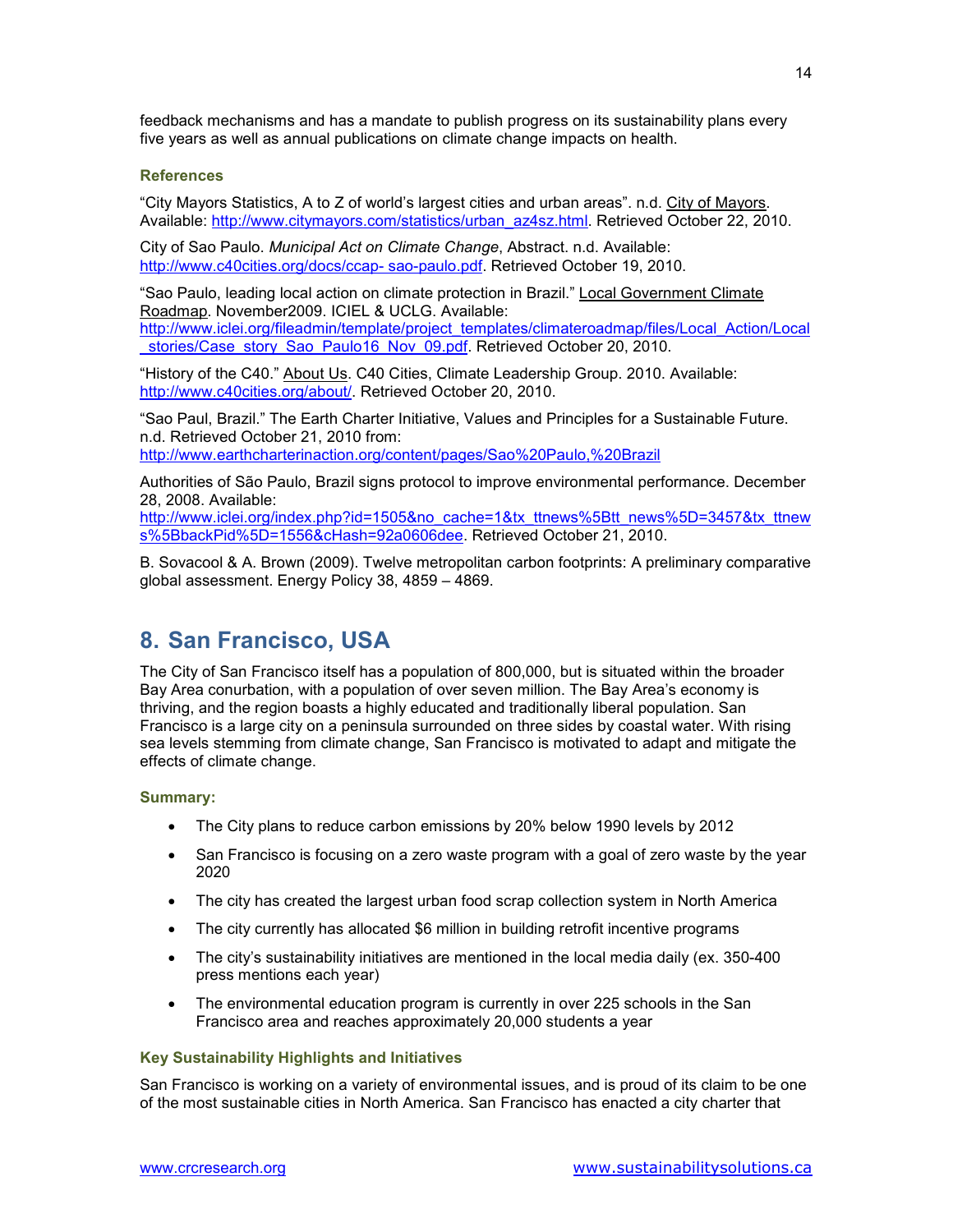feedback mechanisms and has a mandate to publish progress on its sustainability plans every five years as well as annual publications on climate change impacts on health.

### **References**

"City Mayors Statistics, A to Z of world's largest cities and urban areas". n.d. City of Mayors. Available: http://www.citymayors.com/statistics/urban\_az4sz.html. Retrieved October 22, 2010.

City of Sao Paulo. *Municipal Act on Climate Change*, Abstract. n.d. Available: http://www.c40cities.org/docs/ccap- sao-paulo.pdf. Retrieved October 19, 2010.

"Sao Paulo, leading local action on climate protection in Brazil." Local Government Climate Roadmap. November2009. ICIEL & UCLG. Available: http://www.iclei.org/fileadmin/template/project\_templates/climateroadmap/files/Local\_Action/Local stories/Case\_story\_Sao\_Paulo16\_Nov\_09.pdf. Retrieved October 20, 2010.

"History of the C40." About Us. C40 Cities, Climate Leadership Group. 2010. Available: http://www.c40cities.org/about/. Retrieved October 20, 2010.

"Sao Paul, Brazil." The Earth Charter Initiative, Values and Principles for a Sustainable Future. n.d. Retrieved October 21, 2010 from: http://www.earthcharterinaction.org/content/pages/Sao%20Paulo,%20Brazil

Authorities of São Paulo, Brazil signs protocol to improve environmental performance. December 28, 2008. Available:

http://www.iclei.org/index.php?id=1505&no\_cache=1&tx\_ttnews%5Btt\_news%5D=3457&tx\_ttnew s%5BbackPid%5D=1556&cHash=92a0606dee. Retrieved October 21, 2010.

B. Sovacool & A. Brown (2009). Twelve metropolitan carbon footprints: A preliminary comparative global assessment. Energy Policy 38, 4859 – 4869.

### **8. San Francisco, USA**

The City of San Francisco itself has a population of 800,000, but is situated within the broader Bay Area conurbation, with a population of over seven million. The Bay Area's economy is thriving, and the region boasts a highly educated and traditionally liberal population. San Francisco is a large city on a peninsula surrounded on three sides by coastal water. With rising sea levels stemming from climate change, San Francisco is motivated to adapt and mitigate the effects of climate change.

### **Summary:**

- The City plans to reduce carbon emissions by 20% below 1990 levels by 2012
- San Francisco is focusing on a zero waste program with a goal of zero waste by the year 2020
- The city has created the largest urban food scrap collection system in North America
- The city currently has allocated \$6 million in building retrofit incentive programs
- The city's sustainability initiatives are mentioned in the local media daily (ex. 350-400) press mentions each year)
- The environmental education program is currently in over 225 schools in the San Francisco area and reaches approximately 20,000 students a year

### **Key Sustainability Highlights and Initiatives**

San Francisco is working on a variety of environmental issues, and is proud of its claim to be one of the most sustainable cities in North America. San Francisco has enacted a city charter that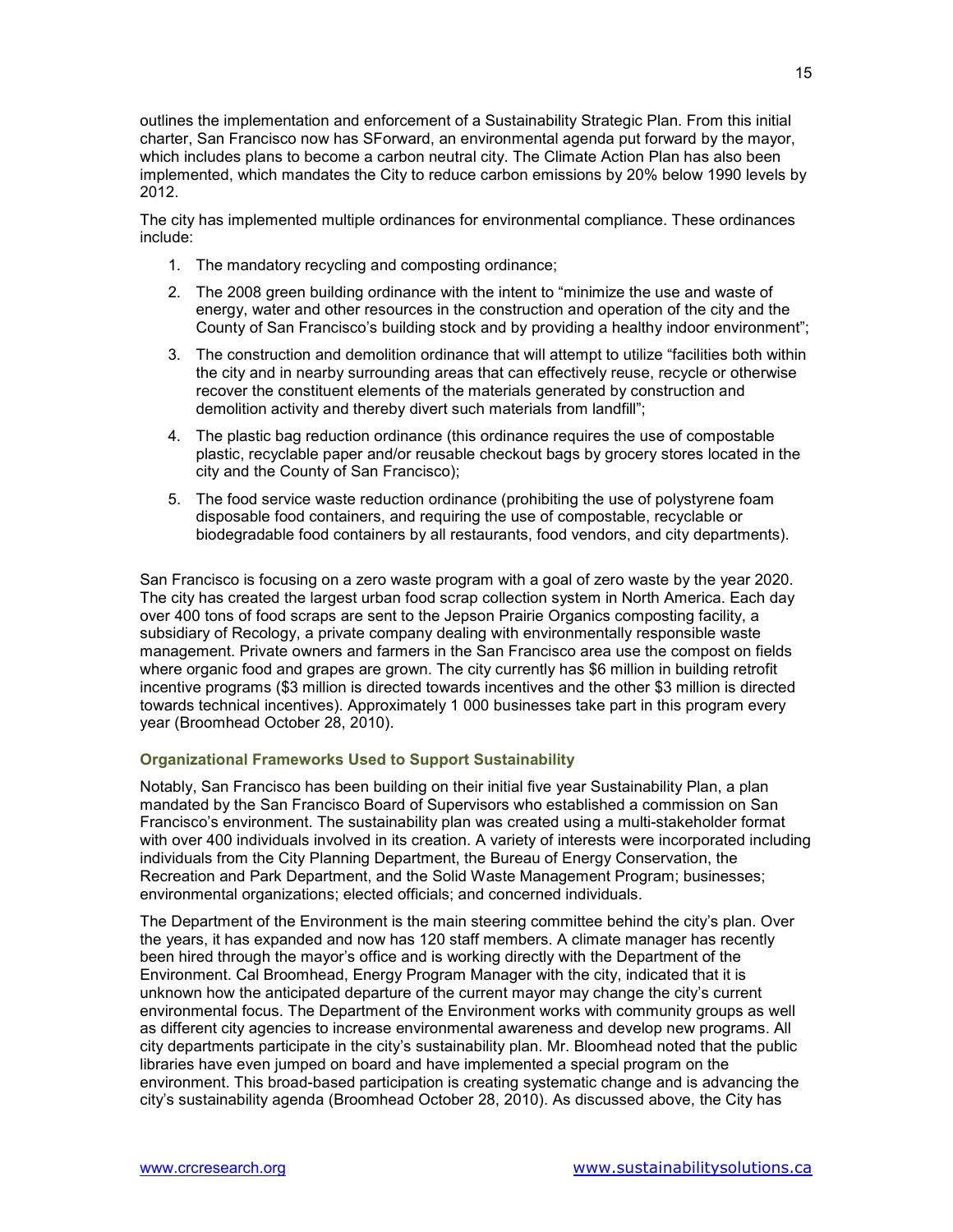outlines the implementation and enforcement of a Sustainability Strategic Plan. From this initial charter, San Francisco now has SForward, an environmental agenda put forward by the mayor, which includes plans to become a carbon neutral city. The Climate Action Plan has also been implemented, which mandates the City to reduce carbon emissions by 20% below 1990 levels by 2012.

The city has implemented multiple ordinances for environmental compliance. These ordinances include:

- 1. The mandatory recycling and composting ordinance;
- 2. The 2008 green building ordinance with the intent to "minimize the use and waste of energy, water and other resources in the construction and operation of the city and the County of San Francisco's building stock and by providing a healthy indoor environment";
- 3. The construction and demolition ordinance that will attempt to utilize "facilities both within the city and in nearby surrounding areas that can effectively reuse, recycle or otherwise recover the constituent elements of the materials generated by construction and demolition activity and thereby divert such materials from landfill";
- 4. The plastic bag reduction ordinance (this ordinance requires the use of compostable plastic, recyclable paper and/or reusable checkout bags by grocery stores located in the city and the County of San Francisco);
- 5. The food service waste reduction ordinance (prohibiting the use of polystyrene foam disposable food containers, and requiring the use of compostable, recyclable or biodegradable food containers by all restaurants, food vendors, and city departments).

San Francisco is focusing on a zero waste program with a goal of zero waste by the year 2020. The city has created the largest urban food scrap collection system in North America. Each day over 400 tons of food scraps are sent to the Jepson Prairie Organics composting facility, a subsidiary of Recology, a private company dealing with environmentally responsible waste management. Private owners and farmers in the San Francisco area use the compost on fields where organic food and grapes are grown. The city currently has \$6 million in building retrofit incentive programs (\$3 million is directed towards incentives and the other \$3 million is directed towards technical incentives). Approximately 1 000 businesses take part in this program every year (Broomhead October 28, 2010).

### **Organizational Frameworks Used to Support Sustainability**

Notably, San Francisco has been building on their initial five year Sustainability Plan, a plan mandated by the San Francisco Board of Supervisors who established a commission on San Francisco's environment. The sustainability plan was created using a multi-stakeholder format with over 400 individuals involved in its creation. A variety of interests were incorporated including individuals from the City Planning Department, the Bureau of Energy Conservation, the Recreation and Park Department, and the Solid Waste Management Program; businesses; environmental organizations; elected officials; and concerned individuals.

The Department of the Environment is the main steering committee behind the city's plan. Over the years, it has expanded and now has 120 staff members. A climate manager has recently been hired through the mayor's office and is working directly with the Department of the Environment. Cal Broomhead, Energy Program Manager with the city, indicated that it is unknown how the anticipated departure of the current mayor may change the city's current environmental focus. The Department of the Environment works with community groups as well as different city agencies to increase environmental awareness and develop new programs. All city departments participate in the city's sustainability plan. Mr. Bloomhead noted that the public libraries have even jumped on board and have implemented a special program on the environment. This broad-based participation is creating systematic change and is advancing the city's sustainability agenda (Broomhead October 28, 2010). As discussed above, the City has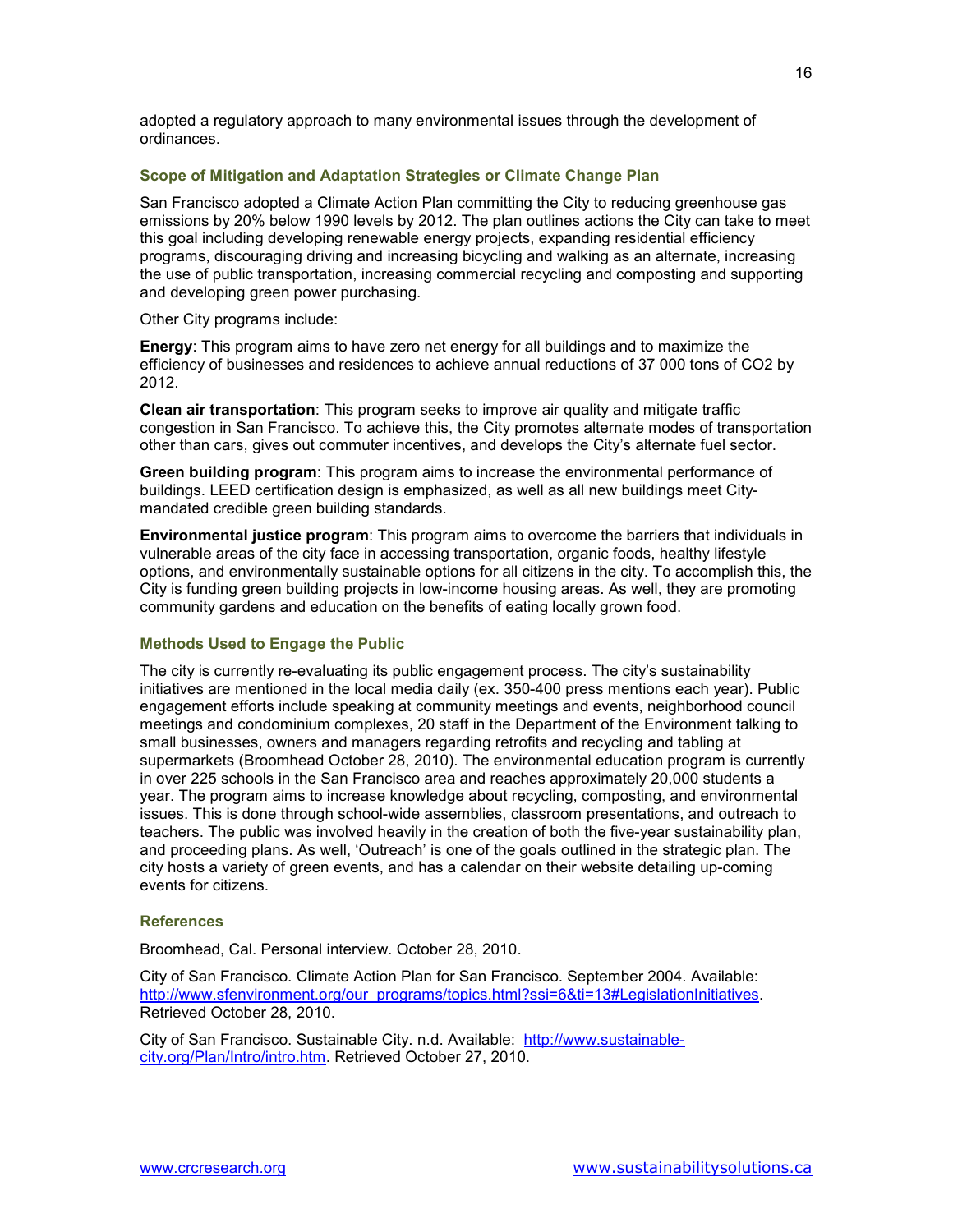adopted a regulatory approach to many environmental issues through the development of ordinances.

### **Scope of Mitigation and Adaptation Strategies or Climate Change Plan**

San Francisco adopted a Climate Action Plan committing the City to reducing greenhouse gas emissions by 20% below 1990 levels by 2012. The plan outlines actions the City can take to meet this goal including developing renewable energy projects, expanding residential efficiency programs, discouraging driving and increasing bicycling and walking as an alternate, increasing the use of public transportation, increasing commercial recycling and composting and supporting and developing green power purchasing.

Other City programs include:

**Energy**: This program aims to have zero net energy for all buildings and to maximize the efficiency of businesses and residences to achieve annual reductions of 37 000 tons of CO2 by 2012.

**Clean air transportation**: This program seeks to improve air quality and mitigate traffic congestion in San Francisco. To achieve this, the City promotes alternate modes of transportation other than cars, gives out commuter incentives, and develops the City's alternate fuel sector.

**Green building program**: This program aims to increase the environmental performance of buildings. LEED certification design is emphasized, as well as all new buildings meet Citymandated credible green building standards.

**Environmental justice program**: This program aims to overcome the barriers that individuals in vulnerable areas of the city face in accessing transportation, organic foods, healthy lifestyle options, and environmentally sustainable options for all citizens in the city. To accomplish this, the City is funding green building projects in low-income housing areas. As well, they are promoting community gardens and education on the benefits of eating locally grown food.

### **Methods Used to Engage the Public**

The city is currently re-evaluating its public engagement process. The city's sustainability initiatives are mentioned in the local media daily (ex. 350-400 press mentions each year). Public engagement efforts include speaking at community meetings and events, neighborhood council meetings and condominium complexes, 20 staff in the Department of the Environment talking to small businesses, owners and managers regarding retrofits and recycling and tabling at supermarkets (Broomhead October 28, 2010). The environmental education program is currently in over 225 schools in the San Francisco area and reaches approximately 20,000 students a year. The program aims to increase knowledge about recycling, composting, and environmental issues. This is done through school-wide assemblies, classroom presentations, and outreach to teachers. The public was involved heavily in the creation of both the five-year sustainability plan, and proceeding plans. As well, 'Outreach' is one of the goals outlined in the strategic plan. The city hosts a variety of green events, and has a calendar on their website detailing up-coming events for citizens.

### **References**

Broomhead, Cal. Personal interview. October 28, 2010.

City of San Francisco. Climate Action Plan for San Francisco. September 2004. Available: http://www.sfenvironment.org/our\_programs/topics.html?ssi=6&ti=13#LegislationInitiatives. Retrieved October 28, 2010.

City of San Francisco. Sustainable City. n.d. Available: http://www.sustainablecity.org/Plan/Intro/intro.htm. Retrieved October 27, 2010.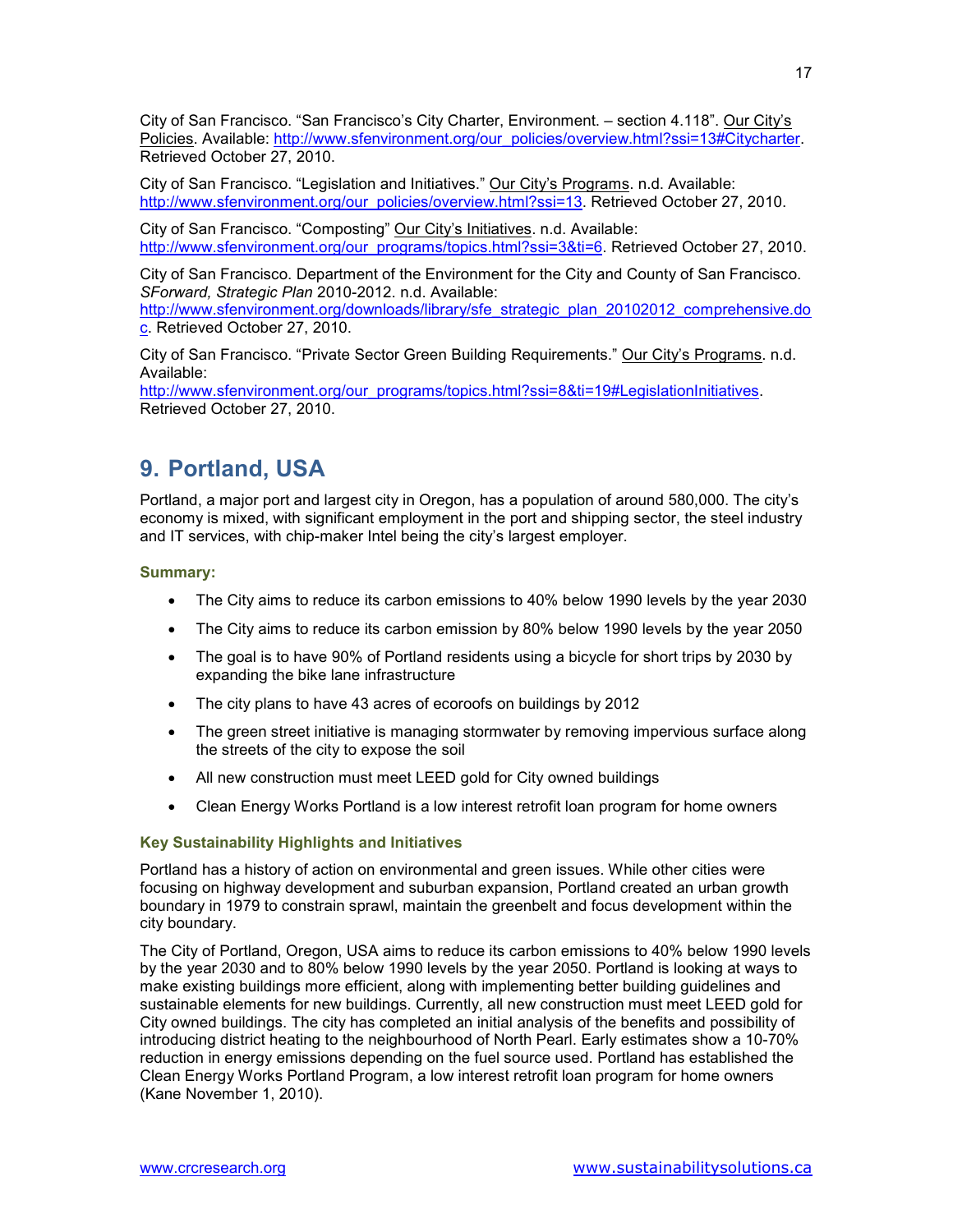City of San Francisco. "San Francisco's City Charter, Environment. – section 4.118". Our City's Policies. Available: http://www.sfenvironment.org/our\_policies/overview.html?ssi=13#Citycharter. Retrieved October 27, 2010.

City of San Francisco. "Legislation and Initiatives." Our City's Programs. n.d. Available: http://www.sfenvironment.org/our\_policies/overview.html?ssi=13. Retrieved October 27, 2010.

City of San Francisco. "Composting" Our City's Initiatives. n.d. Available: http://www.sfenvironment.org/our\_programs/topics.html?ssi=3&ti=6. Retrieved October 27, 2010.

City of San Francisco. Department of the Environment for the City and County of San Francisco. *SForward, Strategic Plan* 2010-2012. n.d. Available:

http://www.sfenvironment.org/downloads/library/sfe\_strategic\_plan\_20102012\_comprehensive.do c. Retrieved October 27, 2010.

City of San Francisco. "Private Sector Green Building Requirements." Our City's Programs. n.d. Available:

http://www.sfenvironment.org/our\_programs/topics.html?ssi=8&ti=19#LegislationInitiatives. Retrieved October 27, 2010.

## **9. Portland, USA**

Portland, a major port and largest city in Oregon, has a population of around 580,000. The city's economy is mixed, with significant employment in the port and shipping sector, the steel industry and IT services, with chip-maker Intel being the city's largest employer.

### **Summary:**

- The City aims to reduce its carbon emissions to 40% below 1990 levels by the year 2030
- The City aims to reduce its carbon emission by 80% below 1990 levels by the year 2050
- The goal is to have 90% of Portland residents using a bicycle for short trips by 2030 by expanding the bike lane infrastructure
- The city plans to have 43 acres of ecoroofs on buildings by 2012
- The green street initiative is managing stormwater by removing impervious surface along the streets of the city to expose the soil
- All new construction must meet LEED gold for City owned buildings
- Clean Energy Works Portland is a low interest retrofit loan program for home owners

### **Key Sustainability Highlights and Initiatives**

Portland has a history of action on environmental and green issues. While other cities were focusing on highway development and suburban expansion, Portland created an urban growth boundary in 1979 to constrain sprawl, maintain the greenbelt and focus development within the city boundary.

The City of Portland, Oregon, USA aims to reduce its carbon emissions to 40% below 1990 levels by the year 2030 and to 80% below 1990 levels by the year 2050. Portland is looking at ways to make existing buildings more efficient, along with implementing better building guidelines and sustainable elements for new buildings. Currently, all new construction must meet LEED gold for City owned buildings. The city has completed an initial analysis of the benefits and possibility of introducing district heating to the neighbourhood of North Pearl. Early estimates show a 10-70% reduction in energy emissions depending on the fuel source used. Portland has established the Clean Energy Works Portland Program, a low interest retrofit loan program for home owners (Kane November 1, 2010).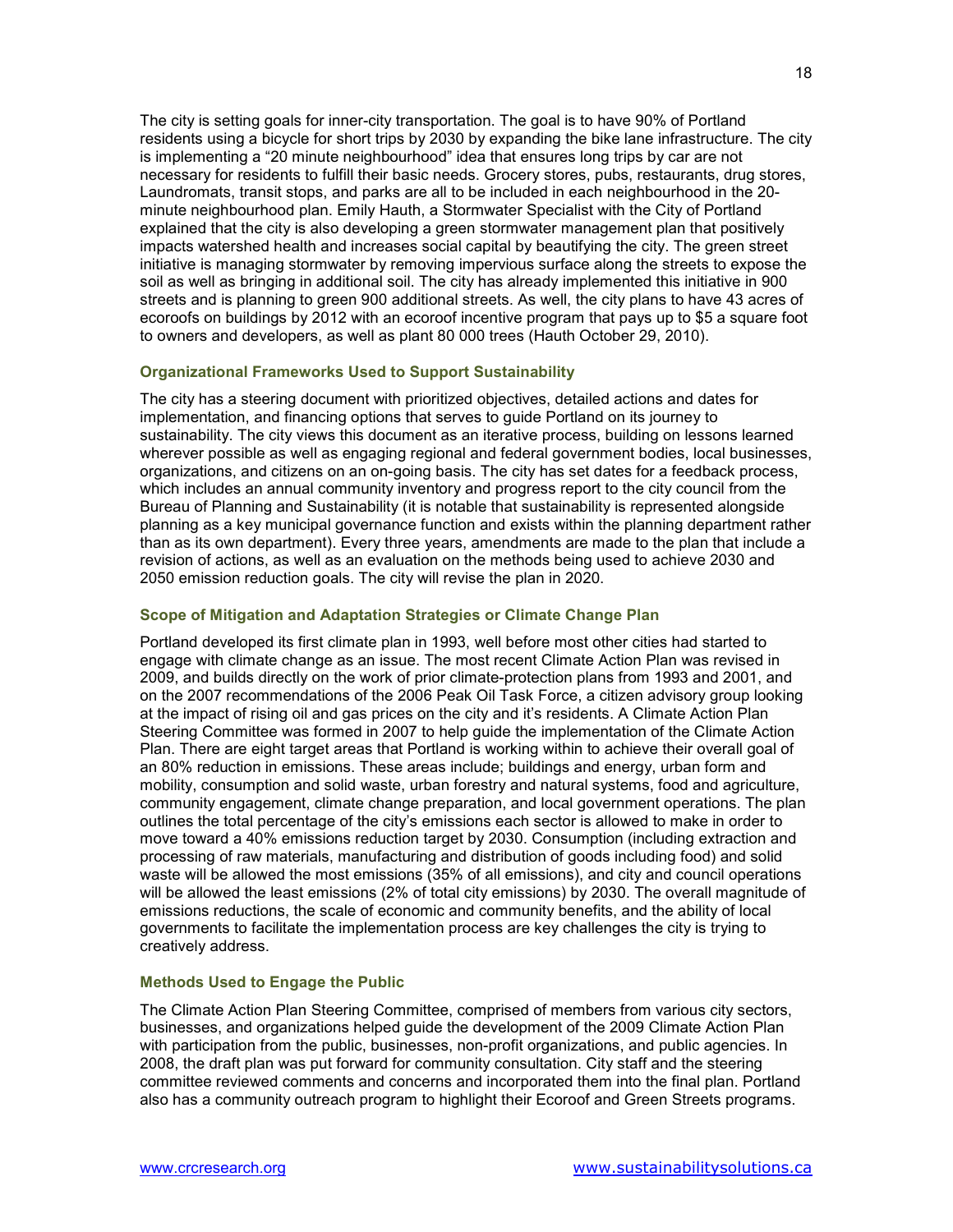The city is setting goals for inner-city transportation. The goal is to have 90% of Portland residents using a bicycle for short trips by 2030 by expanding the bike lane infrastructure. The city is implementing a "20 minute neighbourhood" idea that ensures long trips by car are not necessary for residents to fulfill their basic needs. Grocery stores, pubs, restaurants, drug stores, Laundromats, transit stops, and parks are all to be included in each neighbourhood in the 20 minute neighbourhood plan. Emily Hauth, a Stormwater Specialist with the City of Portland explained that the city is also developing a green stormwater management plan that positively impacts watershed health and increases social capital by beautifying the city. The green street initiative is managing stormwater by removing impervious surface along the streets to expose the soil as well as bringing in additional soil. The city has already implemented this initiative in 900 streets and is planning to green 900 additional streets. As well, the city plans to have 43 acres of ecoroofs on buildings by 2012 with an ecoroof incentive program that pays up to \$5 a square foot to owners and developers, as well as plant 80 000 trees (Hauth October 29, 2010).

### **Organizational Frameworks Used to Support Sustainability**

The city has a steering document with prioritized objectives, detailed actions and dates for implementation, and financing options that serves to guide Portland on its journey to sustainability. The city views this document as an iterative process, building on lessons learned wherever possible as well as engaging regional and federal government bodies, local businesses, organizations, and citizens on an on-going basis. The city has set dates for a feedback process, which includes an annual community inventory and progress report to the city council from the Bureau of Planning and Sustainability (it is notable that sustainability is represented alongside planning as a key municipal governance function and exists within the planning department rather than as its own department). Every three years, amendments are made to the plan that include a revision of actions, as well as an evaluation on the methods being used to achieve 2030 and 2050 emission reduction goals. The city will revise the plan in 2020.

### **Scope of Mitigation and Adaptation Strategies or Climate Change Plan**

Portland developed its first climate plan in 1993, well before most other cities had started to engage with climate change as an issue. The most recent Climate Action Plan was revised in 2009, and builds directly on the work of prior climate-protection plans from 1993 and 2001, and on the 2007 recommendations of the 2006 Peak Oil Task Force, a citizen advisory group looking at the impact of rising oil and gas prices on the city and it's residents. A Climate Action Plan Steering Committee was formed in 2007 to help guide the implementation of the Climate Action Plan. There are eight target areas that Portland is working within to achieve their overall goal of an 80% reduction in emissions. These areas include; buildings and energy, urban form and mobility, consumption and solid waste, urban forestry and natural systems, food and agriculture, community engagement, climate change preparation, and local government operations. The plan outlines the total percentage of the city's emissions each sector is allowed to make in order to move toward a 40% emissions reduction target by 2030. Consumption (including extraction and processing of raw materials, manufacturing and distribution of goods including food) and solid waste will be allowed the most emissions (35% of all emissions), and city and council operations will be allowed the least emissions (2% of total city emissions) by 2030. The overall magnitude of emissions reductions, the scale of economic and community benefits, and the ability of local governments to facilitate the implementation process are key challenges the city is trying to creatively address.

### **Methods Used to Engage the Public**

The Climate Action Plan Steering Committee, comprised of members from various city sectors, businesses, and organizations helped guide the development of the 2009 Climate Action Plan with participation from the public, businesses, non-profit organizations, and public agencies. In 2008, the draft plan was put forward for community consultation. City staff and the steering committee reviewed comments and concerns and incorporated them into the final plan. Portland also has a community outreach program to highlight their Ecoroof and Green Streets programs.